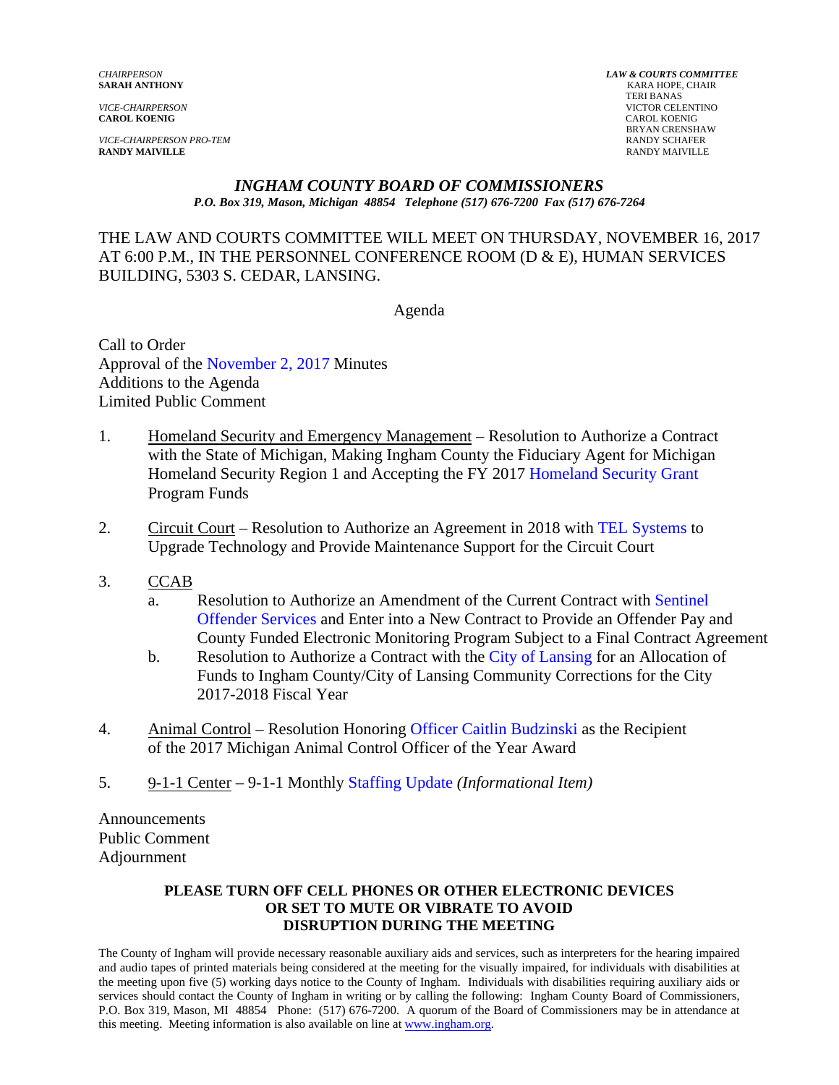**CAROL KOENIG** CAROL KOENIG

*VICE-CHAIRPERSON PRO-TEM* RANDY SCHAFER **RANDY MAIVILLE** RANDY MAIVILLE

*CHAIRPERSON LAW & COURTS COMMITTEE* **KARA HOPE, CHAIR**  TERI BANAS *VICE-CHAIRPERSON* VICTOR CELENTINO BRYAN CRENSHAW<br>RANDY SCHAFER

#### *INGHAM COUNTY BOARD OF COMMISSIONERS P.O. Box 319, Mason, Michigan 48854 Telephone (517) 676-7200 Fax (517) 676-7264*

# THE LAW AND COURTS COMMITTEE WILL MEET ON THURSDAY, NOVEMBER 16, 2017 AT 6:00 P.M., IN THE PERSONNEL CONFERENCE ROOM (D & E), HUMAN SERVICES BUILDING, 5303 S. CEDAR, LANSING.

Agenda

Call to Order Approval of [the November 2, 2017 Minutes](#page-1-0)  Additions to the Agenda Limited Public Comment

- 1. Homeland Security and Emergency Management Resolution to Authorize a Contract with the State of Michigan, Making Ingham County the Fiduciary Agent for Michigan Homeland Security Region 1 and Accepting the FY [2017 Homeland Security Grant](#page-8-0) Program Funds
- 2. Circuit Court Resolution to Authorize an Agreement in 2[018 with TEL Systems to](#page-10-0) Upgrade Technology and Provide Maintenance Support for the Circuit Court
- 3. CCAB
	- a. [Resolution to Authorize an Amendment of the Current Contract with Sentinel](#page-12-0) Offender Services and Enter into a New Contract to Provide an Offender Pay and County Funded Electronic Monitoring Program Subject to a Final Contract Agreement
	- b. Resolution to Authorize a Contract with the City of Lansing for an Allocation of Funds to Ingham County/City of Lansin[g Community Corrections f](#page-19-0)or the City 2017-2018 Fiscal Year
- 4. Animal Control Resolution Honori[ng Officer Caitlin Budzinski as the Rec](#page-21-0)ipient of the 2017 Michigan Animal Control Officer of the Year Award
- 5. 9-1-1 Center 9-1-1 Mo[nthly Staffing Update](#page-23-0) *(Informational Item)*

Announcements Public Comment Adjournment

#### **PLEASE TURN OFF CELL PHONES OR OTHER ELECTRONIC DEVICES OR SET TO MUTE OR VIBRATE TO AVOID DISRUPTION DURING THE MEETING**

The County of Ingham will provide necessary reasonable auxiliary aids and services, such as interpreters for the hearing impaired and audio tapes of printed materials being considered at the meeting for the visually impaired, for individuals with disabilities at the meeting upon five (5) working days notice to the County of Ingham. Individuals with disabilities requiring auxiliary aids or services should contact the County of Ingham in writing or by calling the following: Ingham County Board of Commissioners, P.O. Box 319, Mason, MI 48854 Phone: (517) 676-7200. A quorum of the Board of Commissioners may be in attendance at this meeting. Meeting information is also available on line at www.ingham.org.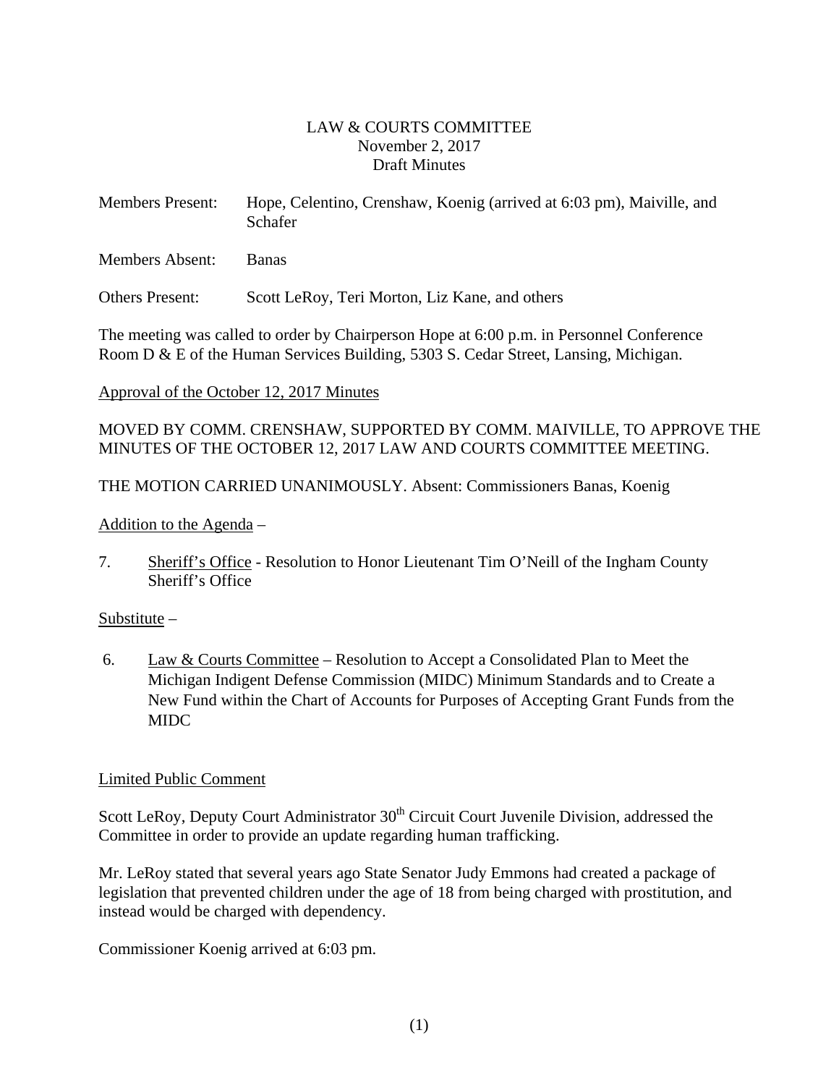# LAW & COURTS COMMITTEE November 2, 2017 Draft Minutes

<span id="page-1-0"></span>

| <b>Members Present:</b> | Hope, Celentino, Crenshaw, Koenig (arrived at 6:03 pm), Maiville, and |
|-------------------------|-----------------------------------------------------------------------|
|                         | Schafer                                                               |

Members Absent: Banas

Others Present: Scott LeRoy, Teri Morton, Liz Kane, and others

The meeting was called to order by Chairperson Hope at 6:00 p.m. in Personnel Conference Room D & E of the Human Services Building, 5303 S. Cedar Street, Lansing, Michigan.

### Approval of the October 12, 2017 Minutes

MOVED BY COMM. CRENSHAW, SUPPORTED BY COMM. MAIVILLE, TO APPROVE THE MINUTES OF THE OCTOBER 12, 2017 LAW AND COURTS COMMITTEE MEETING.

THE MOTION CARRIED UNANIMOUSLY. Absent: Commissioners Banas, Koenig

Addition to the Agenda –

7. Sheriff's Office - Resolution to Honor Lieutenant Tim O'Neill of the Ingham County Sheriff's Office

### Substitute –

 6. Law & Courts Committee – Resolution to Accept a Consolidated Plan to Meet the Michigan Indigent Defense Commission (MIDC) Minimum Standards and to Create a New Fund within the Chart of Accounts for Purposes of Accepting Grant Funds from the MIDC

### Limited Public Comment

Scott LeRoy, Deputy Court Administrator 30<sup>th</sup> Circuit Court Juvenile Division, addressed the Committee in order to provide an update regarding human trafficking.

Mr. LeRoy stated that several years ago State Senator Judy Emmons had created a package of legislation that prevented children under the age of 18 from being charged with prostitution, and instead would be charged with dependency.

Commissioner Koenig arrived at 6:03 pm.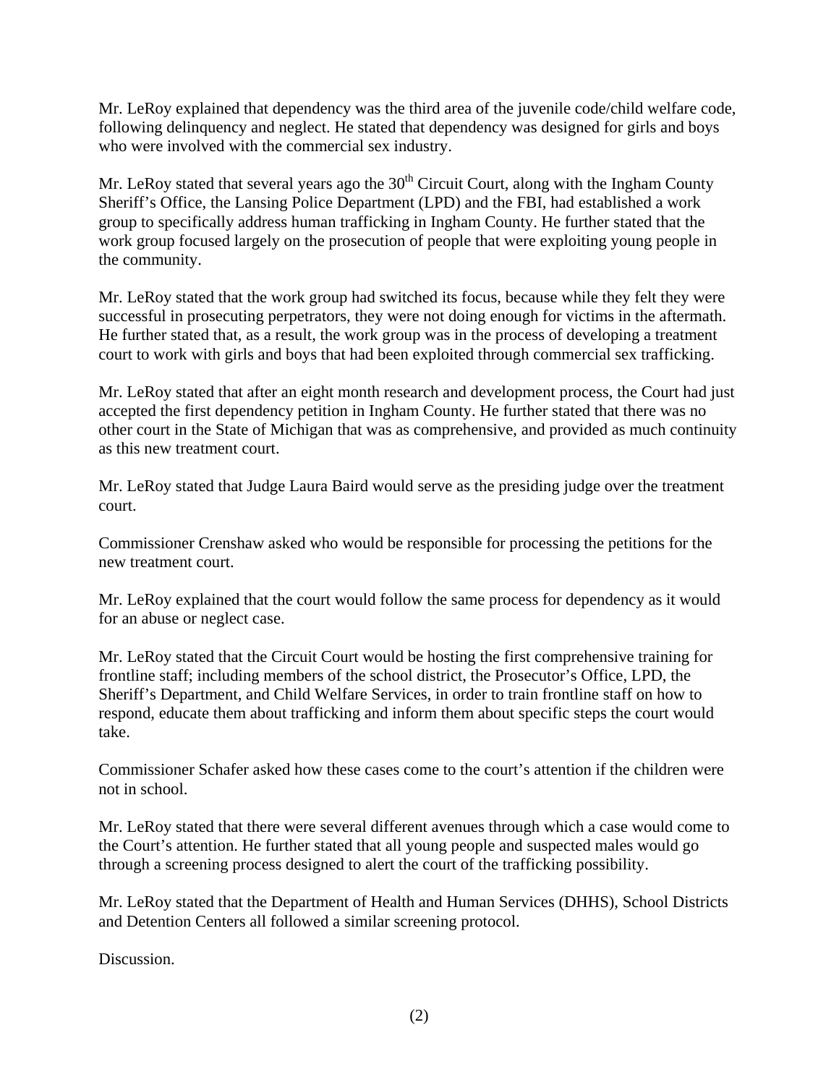Mr. LeRoy explained that dependency was the third area of the juvenile code/child welfare code, following delinquency and neglect. He stated that dependency was designed for girls and boys who were involved with the commercial sex industry.

Mr. LeRoy stated that several years ago the 30<sup>th</sup> Circuit Court, along with the Ingham County Sheriff's Office, the Lansing Police Department (LPD) and the FBI, had established a work group to specifically address human trafficking in Ingham County. He further stated that the work group focused largely on the prosecution of people that were exploiting young people in the community.

Mr. LeRoy stated that the work group had switched its focus, because while they felt they were successful in prosecuting perpetrators, they were not doing enough for victims in the aftermath. He further stated that, as a result, the work group was in the process of developing a treatment court to work with girls and boys that had been exploited through commercial sex trafficking.

Mr. LeRoy stated that after an eight month research and development process, the Court had just accepted the first dependency petition in Ingham County. He further stated that there was no other court in the State of Michigan that was as comprehensive, and provided as much continuity as this new treatment court.

Mr. LeRoy stated that Judge Laura Baird would serve as the presiding judge over the treatment court.

Commissioner Crenshaw asked who would be responsible for processing the petitions for the new treatment court.

Mr. LeRoy explained that the court would follow the same process for dependency as it would for an abuse or neglect case.

Mr. LeRoy stated that the Circuit Court would be hosting the first comprehensive training for frontline staff; including members of the school district, the Prosecutor's Office, LPD, the Sheriff's Department, and Child Welfare Services, in order to train frontline staff on how to respond, educate them about trafficking and inform them about specific steps the court would take.

Commissioner Schafer asked how these cases come to the court's attention if the children were not in school.

Mr. LeRoy stated that there were several different avenues through which a case would come to the Court's attention. He further stated that all young people and suspected males would go through a screening process designed to alert the court of the trafficking possibility.

Mr. LeRoy stated that the Department of Health and Human Services (DHHS), School Districts and Detention Centers all followed a similar screening protocol.

Discussion.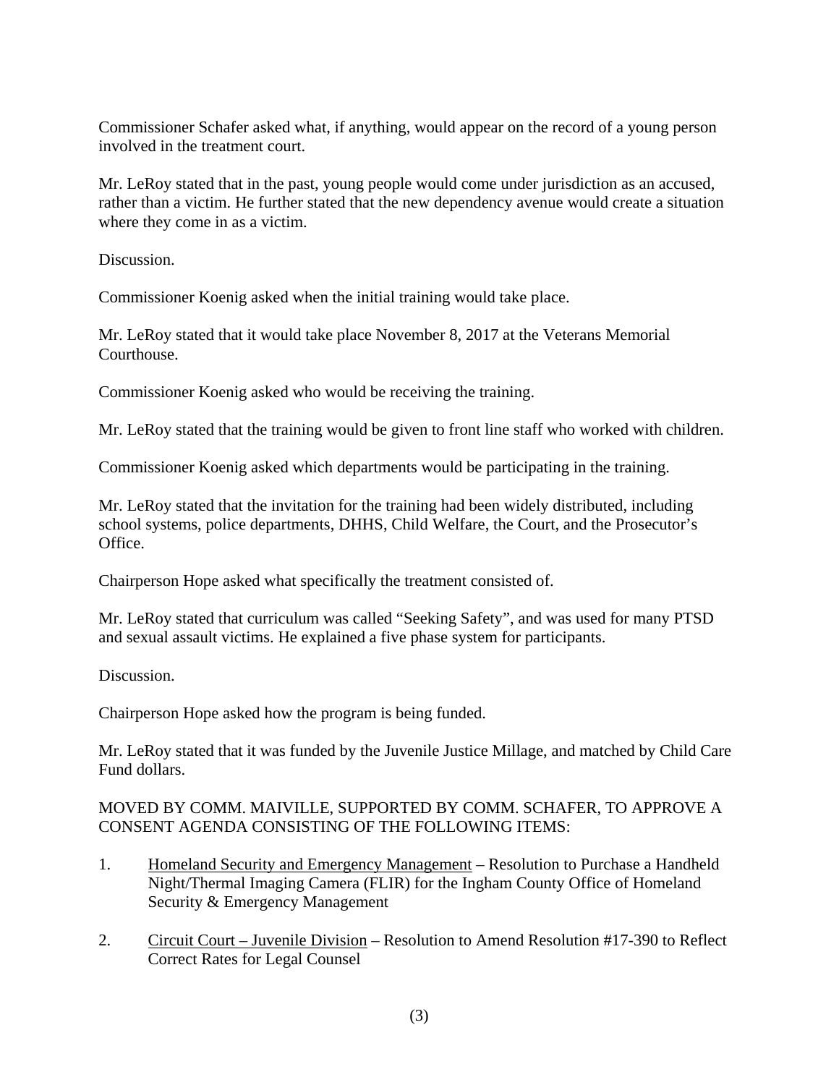Commissioner Schafer asked what, if anything, would appear on the record of a young person involved in the treatment court.

Mr. LeRoy stated that in the past, young people would come under jurisdiction as an accused, rather than a victim. He further stated that the new dependency avenue would create a situation where they come in as a victim.

Discussion.

Commissioner Koenig asked when the initial training would take place.

Mr. LeRoy stated that it would take place November 8, 2017 at the Veterans Memorial Courthouse.

Commissioner Koenig asked who would be receiving the training.

Mr. LeRoy stated that the training would be given to front line staff who worked with children.

Commissioner Koenig asked which departments would be participating in the training.

Mr. LeRoy stated that the invitation for the training had been widely distributed, including school systems, police departments, DHHS, Child Welfare, the Court, and the Prosecutor's Office.

Chairperson Hope asked what specifically the treatment consisted of.

Mr. LeRoy stated that curriculum was called "Seeking Safety", and was used for many PTSD and sexual assault victims. He explained a five phase system for participants.

Discussion.

Chairperson Hope asked how the program is being funded.

Mr. LeRoy stated that it was funded by the Juvenile Justice Millage, and matched by Child Care Fund dollars.

# MOVED BY COMM. MAIVILLE, SUPPORTED BY COMM. SCHAFER, TO APPROVE A CONSENT AGENDA CONSISTING OF THE FOLLOWING ITEMS:

- 1. Homeland Security and Emergency Management Resolution to Purchase a Handheld Night/Thermal Imaging Camera (FLIR) for the Ingham County Office of Homeland Security & Emergency Management
- 2. Circuit Court Juvenile Division Resolution to Amend Resolution #17-390 to Reflect Correct Rates for Legal Counsel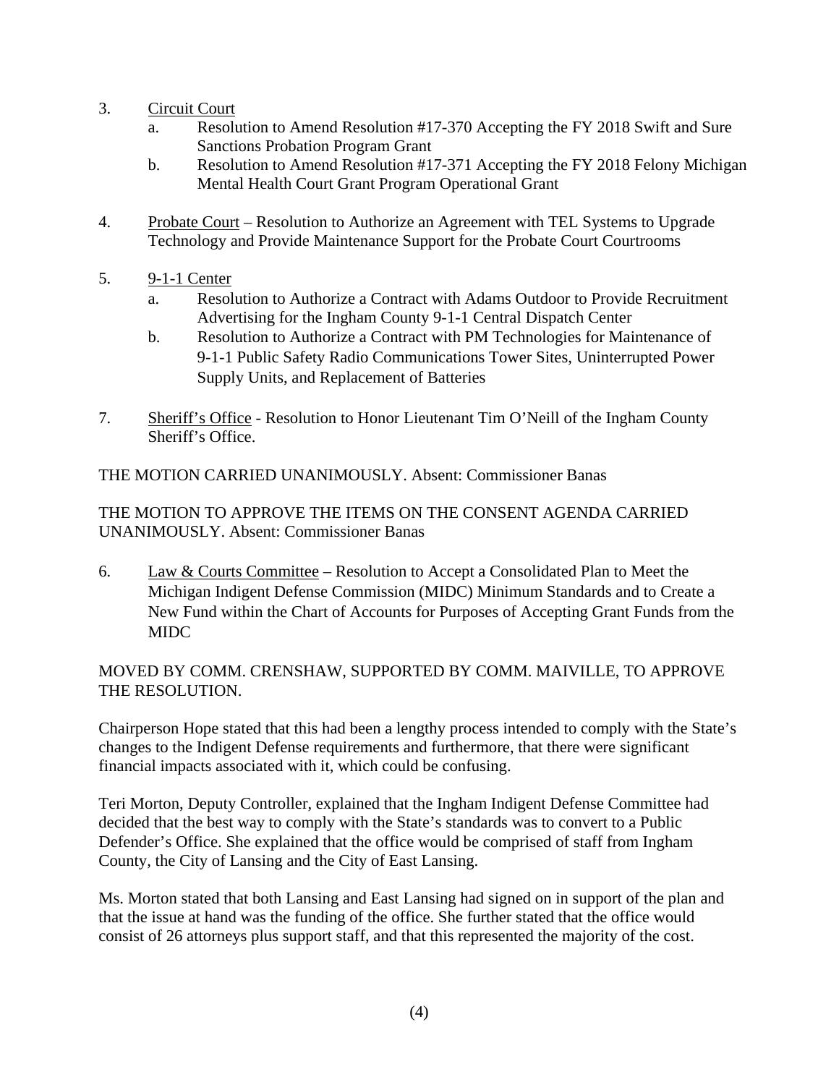- 3. Circuit Court
	- a. Resolution to Amend Resolution #17-370 Accepting the FY 2018 Swift and Sure Sanctions Probation Program Grant
	- b. Resolution to Amend Resolution #17-371 Accepting the FY 2018 Felony Michigan Mental Health Court Grant Program Operational Grant
- 4. Probate Court Resolution to Authorize an Agreement with TEL Systems to Upgrade Technology and Provide Maintenance Support for the Probate Court Courtrooms
- 5. 9-1-1 Center
	- a. Resolution to Authorize a Contract with Adams Outdoor to Provide Recruitment Advertising for the Ingham County 9-1-1 Central Dispatch Center
	- b. Resolution to Authorize a Contract with PM Technologies for Maintenance of 9-1-1 Public Safety Radio Communications Tower Sites, Uninterrupted Power Supply Units, and Replacement of Batteries
- 7. Sheriff's Office Resolution to Honor Lieutenant Tim O'Neill of the Ingham County Sheriff's Office.

THE MOTION CARRIED UNANIMOUSLY. Absent: Commissioner Banas

THE MOTION TO APPROVE THE ITEMS ON THE CONSENT AGENDA CARRIED UNANIMOUSLY. Absent: Commissioner Banas

6. Law & Courts Committee – Resolution to Accept a Consolidated Plan to Meet the Michigan Indigent Defense Commission (MIDC) Minimum Standards and to Create a New Fund within the Chart of Accounts for Purposes of Accepting Grant Funds from the MIDC

# MOVED BY COMM. CRENSHAW, SUPPORTED BY COMM. MAIVILLE, TO APPROVE THE RESOLUTION.

Chairperson Hope stated that this had been a lengthy process intended to comply with the State's changes to the Indigent Defense requirements and furthermore, that there were significant financial impacts associated with it, which could be confusing.

Teri Morton, Deputy Controller, explained that the Ingham Indigent Defense Committee had decided that the best way to comply with the State's standards was to convert to a Public Defender's Office. She explained that the office would be comprised of staff from Ingham County, the City of Lansing and the City of East Lansing.

Ms. Morton stated that both Lansing and East Lansing had signed on in support of the plan and that the issue at hand was the funding of the office. She further stated that the office would consist of 26 attorneys plus support staff, and that this represented the majority of the cost.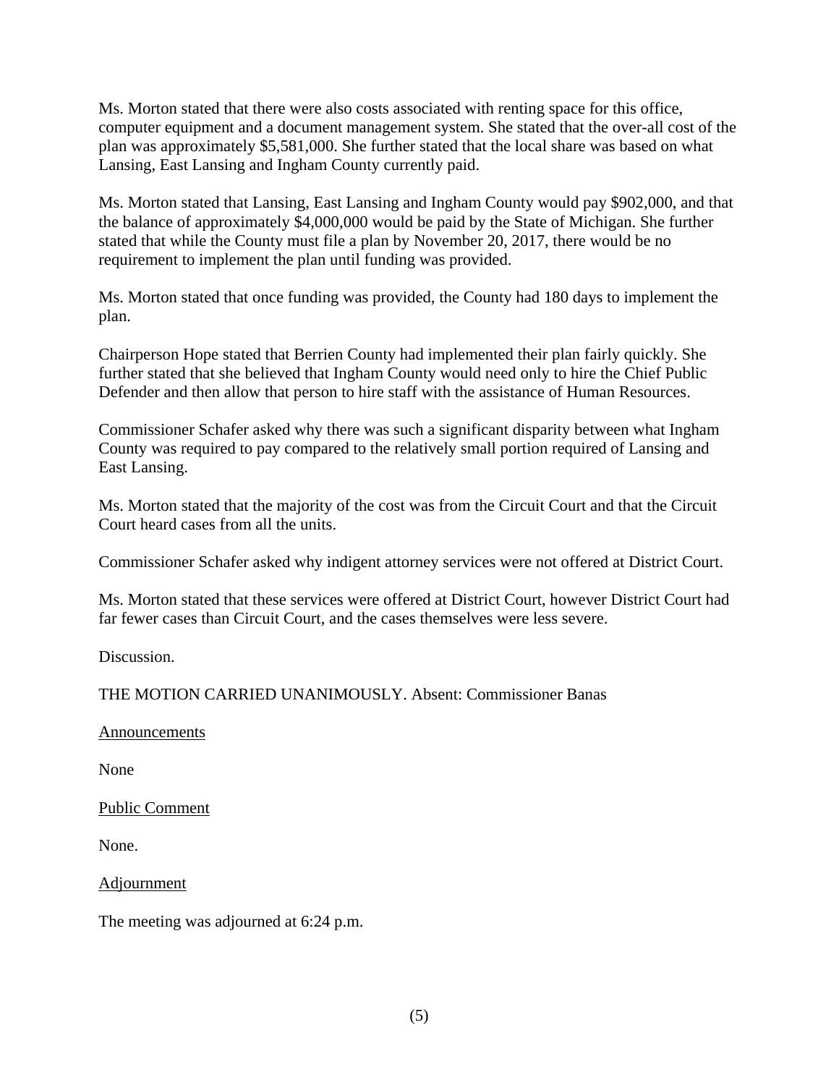Ms. Morton stated that there were also costs associated with renting space for this office, computer equipment and a document management system. She stated that the over-all cost of the plan was approximately \$5,581,000. She further stated that the local share was based on what Lansing, East Lansing and Ingham County currently paid.

Ms. Morton stated that Lansing, East Lansing and Ingham County would pay \$902,000, and that the balance of approximately \$4,000,000 would be paid by the State of Michigan. She further stated that while the County must file a plan by November 20, 2017, there would be no requirement to implement the plan until funding was provided.

Ms. Morton stated that once funding was provided, the County had 180 days to implement the plan.

Chairperson Hope stated that Berrien County had implemented their plan fairly quickly. She further stated that she believed that Ingham County would need only to hire the Chief Public Defender and then allow that person to hire staff with the assistance of Human Resources.

Commissioner Schafer asked why there was such a significant disparity between what Ingham County was required to pay compared to the relatively small portion required of Lansing and East Lansing.

Ms. Morton stated that the majority of the cost was from the Circuit Court and that the Circuit Court heard cases from all the units.

Commissioner Schafer asked why indigent attorney services were not offered at District Court.

Ms. Morton stated that these services were offered at District Court, however District Court had far fewer cases than Circuit Court, and the cases themselves were less severe.

Discussion.

THE MOTION CARRIED UNANIMOUSLY. Absent: Commissioner Banas

Announcements

None

Public Comment

None.

Adjournment

The meeting was adjourned at 6:24 p.m.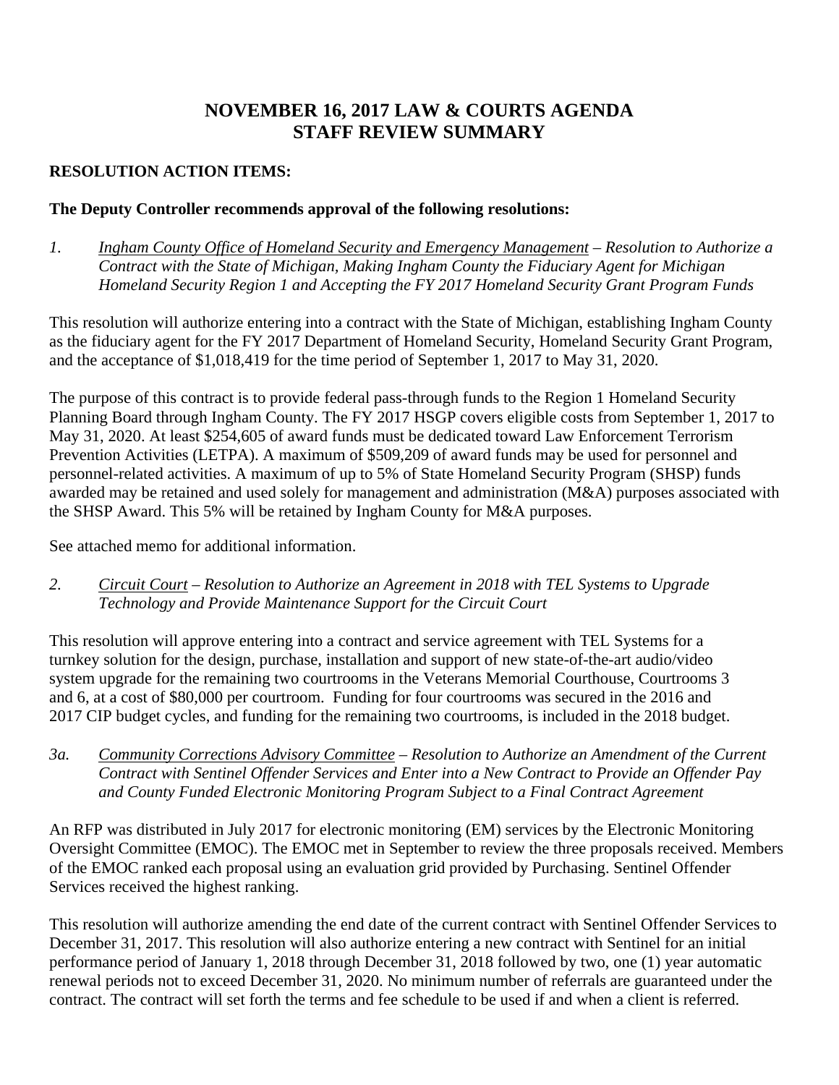# **NOVEMBER 16, 2017 LAW & COURTS AGENDA STAFF REVIEW SUMMARY**

# **RESOLUTION ACTION ITEMS:**

### **The Deputy Controller recommends approval of the following resolutions:**

*1. Ingham County Office of Homeland Security and Emergency Management – Resolution to Authorize a Contract with the State of Michigan, Making Ingham County the Fiduciary Agent for Michigan Homeland Security Region 1 and Accepting the FY 2017 Homeland Security Grant Program Funds*

This resolution will authorize entering into a contract with the State of Michigan, establishing Ingham County as the fiduciary agent for the FY 2017 Department of Homeland Security, Homeland Security Grant Program, and the acceptance of \$1,018,419 for the time period of September 1, 2017 to May 31, 2020.

The purpose of this contract is to provide federal pass-through funds to the Region 1 Homeland Security Planning Board through Ingham County. The FY 2017 HSGP covers eligible costs from September 1, 2017 to May 31, 2020. At least \$254,605 of award funds must be dedicated toward Law Enforcement Terrorism Prevention Activities (LETPA). A maximum of \$509,209 of award funds may be used for personnel and personnel-related activities. A maximum of up to 5% of State Homeland Security Program (SHSP) funds awarded may be retained and used solely for management and administration (M&A) purposes associated with the SHSP Award. This 5% will be retained by Ingham County for M&A purposes.

See attached memo for additional information.

*2. Circuit Court – Resolution to Authorize an Agreement in 2018 with TEL Systems to Upgrade Technology and Provide Maintenance Support for the Circuit Court*

This resolution will approve entering into a contract and service agreement with TEL Systems for a turnkey solution for the design, purchase, installation and support of new state-of-the-art audio/video system upgrade for the remaining two courtrooms in the Veterans Memorial Courthouse, Courtrooms 3 and 6, at a cost of \$80,000 per courtroom. Funding for four courtrooms was secured in the 2016 and 2017 CIP budget cycles, and funding for the remaining two courtrooms, is included in the 2018 budget.

*3a. Community Corrections Advisory Committee – Resolution to Authorize an Amendment of the Current Contract with Sentinel Offender Services and Enter into a New Contract to Provide an Offender Pay and County Funded Electronic Monitoring Program Subject to a Final Contract Agreement*

An RFP was distributed in July 2017 for electronic monitoring (EM) services by the Electronic Monitoring Oversight Committee (EMOC). The EMOC met in September to review the three proposals received. Members of the EMOC ranked each proposal using an evaluation grid provided by Purchasing. Sentinel Offender Services received the highest ranking.

This resolution will authorize amending the end date of the current contract with Sentinel Offender Services to December 31, 2017. This resolution will also authorize entering a new contract with Sentinel for an initial performance period of January 1, 2018 through December 31, 2018 followed by two, one (1) year automatic renewal periods not to exceed December 31, 2020. No minimum number of referrals are guaranteed under the contract. The contract will set forth the terms and fee schedule to be used if and when a client is referred.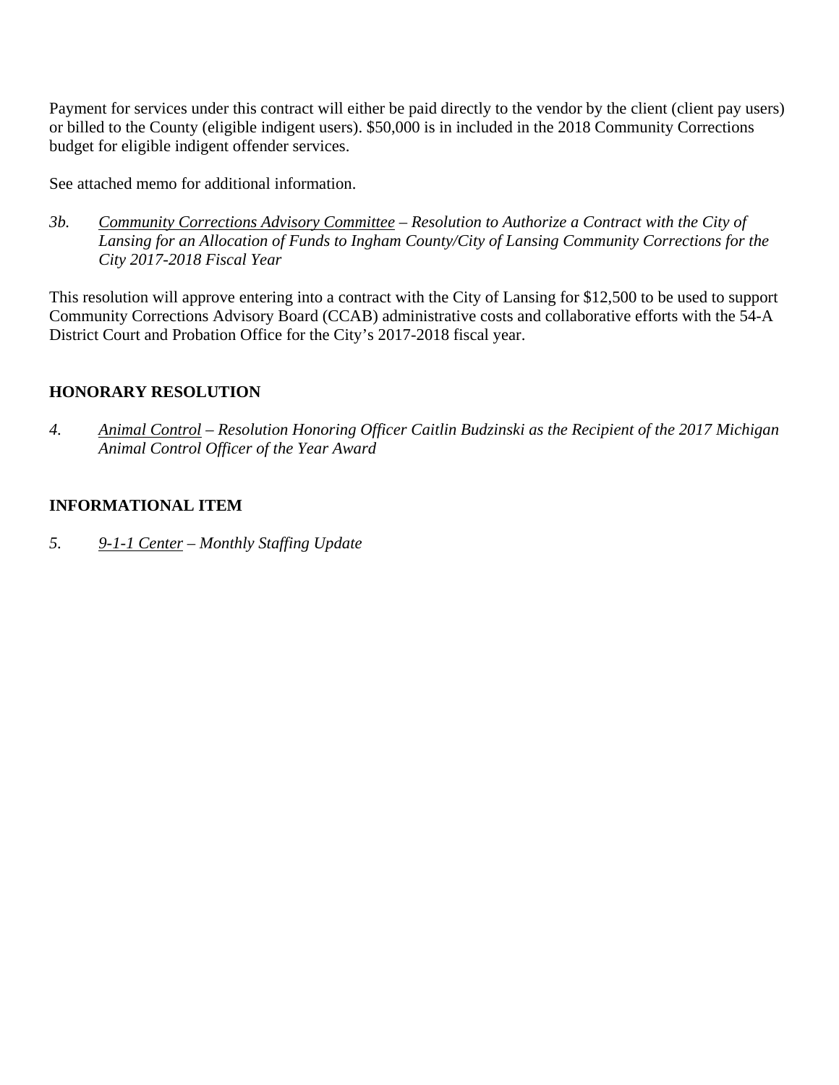Payment for services under this contract will either be paid directly to the vendor by the client (client pay users) or billed to the County (eligible indigent users). \$50,000 is in included in the 2018 Community Corrections budget for eligible indigent offender services.

See attached memo for additional information.

*3b. Community Corrections Advisory Committee – Resolution to Authorize a Contract with the City of Lansing for an Allocation of Funds to Ingham County/City of Lansing Community Corrections for the City 2017-2018 Fiscal Year*

This resolution will approve entering into a contract with the City of Lansing for \$12,500 to be used to support Community Corrections Advisory Board (CCAB) administrative costs and collaborative efforts with the 54-A District Court and Probation Office for the City's 2017-2018 fiscal year.

# **HONORARY RESOLUTION**

*4. Animal Control – Resolution Honoring Officer Caitlin Budzinski as the Recipient of the 2017 Michigan Animal Control Officer of the Year Award*

# **INFORMATIONAL ITEM**

*5. 9-1-1 Center – Monthly Staffing Update*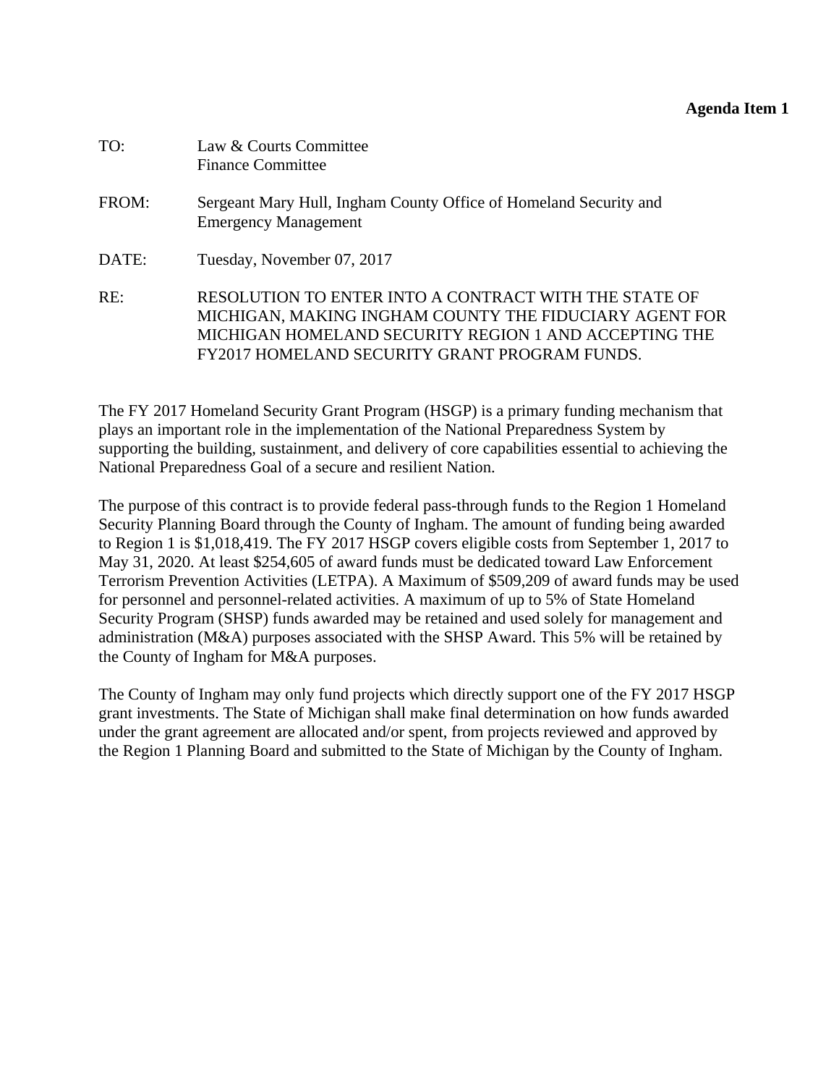### **Agenda Item 1**

<span id="page-8-0"></span>

| TO:   | Law & Courts Committee<br><b>Finance Committee</b>                                                                                                                                                                               |
|-------|----------------------------------------------------------------------------------------------------------------------------------------------------------------------------------------------------------------------------------|
| FROM: | Sergeant Mary Hull, Ingham County Office of Homeland Security and<br><b>Emergency Management</b>                                                                                                                                 |
| DATE: | Tuesday, November 07, 2017                                                                                                                                                                                                       |
| RE:   | RESOLUTION TO ENTER INTO A CONTRACT WITH THE STATE OF<br>MICHIGAN, MAKING INGHAM COUNTY THE FIDUCIARY AGENT FOR<br>MICHIGAN HOMELAND SECURITY REGION 1 AND ACCEPTING THE<br><b>FY2017 HOMELAND SECURITY GRANT PROGRAM FUNDS.</b> |

The FY 2017 Homeland Security Grant Program (HSGP) is a primary funding mechanism that plays an important role in the implementation of the National Preparedness System by supporting the building, sustainment, and delivery of core capabilities essential to achieving the National Preparedness Goal of a secure and resilient Nation.

The purpose of this contract is to provide federal pass-through funds to the Region 1 Homeland Security Planning Board through the County of Ingham. The amount of funding being awarded to Region 1 is \$1,018,419. The FY 2017 HSGP covers eligible costs from September 1, 2017 to May 31, 2020. At least \$254,605 of award funds must be dedicated toward Law Enforcement Terrorism Prevention Activities (LETPA). A Maximum of \$509,209 of award funds may be used for personnel and personnel-related activities. A maximum of up to 5% of State Homeland Security Program (SHSP) funds awarded may be retained and used solely for management and administration (M&A) purposes associated with the SHSP Award. This 5% will be retained by the County of Ingham for M&A purposes.

The County of Ingham may only fund projects which directly support one of the FY 2017 HSGP grant investments. The State of Michigan shall make final determination on how funds awarded under the grant agreement are allocated and/or spent, from projects reviewed and approved by the Region 1 Planning Board and submitted to the State of Michigan by the County of Ingham.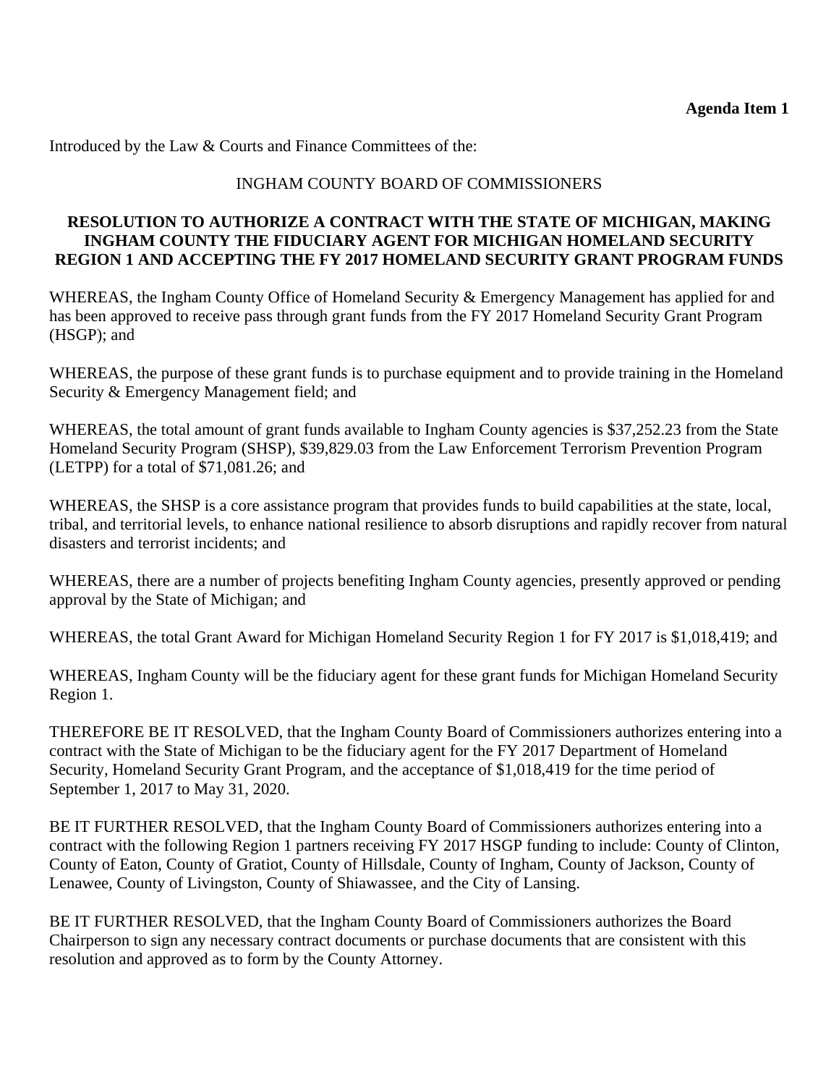Introduced by the Law & Courts and Finance Committees of the:

# INGHAM COUNTY BOARD OF COMMISSIONERS

# **RESOLUTION TO AUTHORIZE A CONTRACT WITH THE STATE OF MICHIGAN, MAKING INGHAM COUNTY THE FIDUCIARY AGENT FOR MICHIGAN HOMELAND SECURITY REGION 1 AND ACCEPTING THE FY 2017 HOMELAND SECURITY GRANT PROGRAM FUNDS**

WHEREAS, the Ingham County Office of Homeland Security & Emergency Management has applied for and has been approved to receive pass through grant funds from the FY 2017 Homeland Security Grant Program (HSGP); and

WHEREAS, the purpose of these grant funds is to purchase equipment and to provide training in the Homeland Security & Emergency Management field; and

WHEREAS, the total amount of grant funds available to Ingham County agencies is \$37,252.23 from the State Homeland Security Program (SHSP), \$39,829.03 from the Law Enforcement Terrorism Prevention Program (LETPP) for a total of \$71,081.26; and

WHEREAS, the SHSP is a core assistance program that provides funds to build capabilities at the state, local, tribal, and territorial levels, to enhance national resilience to absorb disruptions and rapidly recover from natural disasters and terrorist incidents; and

WHEREAS, there are a number of projects benefiting Ingham County agencies, presently approved or pending approval by the State of Michigan; and

WHEREAS, the total Grant Award for Michigan Homeland Security Region 1 for FY 2017 is \$1,018,419; and

WHEREAS, Ingham County will be the fiduciary agent for these grant funds for Michigan Homeland Security Region 1.

THEREFORE BE IT RESOLVED, that the Ingham County Board of Commissioners authorizes entering into a contract with the State of Michigan to be the fiduciary agent for the FY 2017 Department of Homeland Security, Homeland Security Grant Program, and the acceptance of \$1,018,419 for the time period of September 1, 2017 to May 31, 2020.

BE IT FURTHER RESOLVED, that the Ingham County Board of Commissioners authorizes entering into a contract with the following Region 1 partners receiving FY 2017 HSGP funding to include: County of Clinton, County of Eaton, County of Gratiot, County of Hillsdale, County of Ingham, County of Jackson, County of Lenawee, County of Livingston, County of Shiawassee, and the City of Lansing.

BE IT FURTHER RESOLVED, that the Ingham County Board of Commissioners authorizes the Board Chairperson to sign any necessary contract documents or purchase documents that are consistent with this resolution and approved as to form by the County Attorney.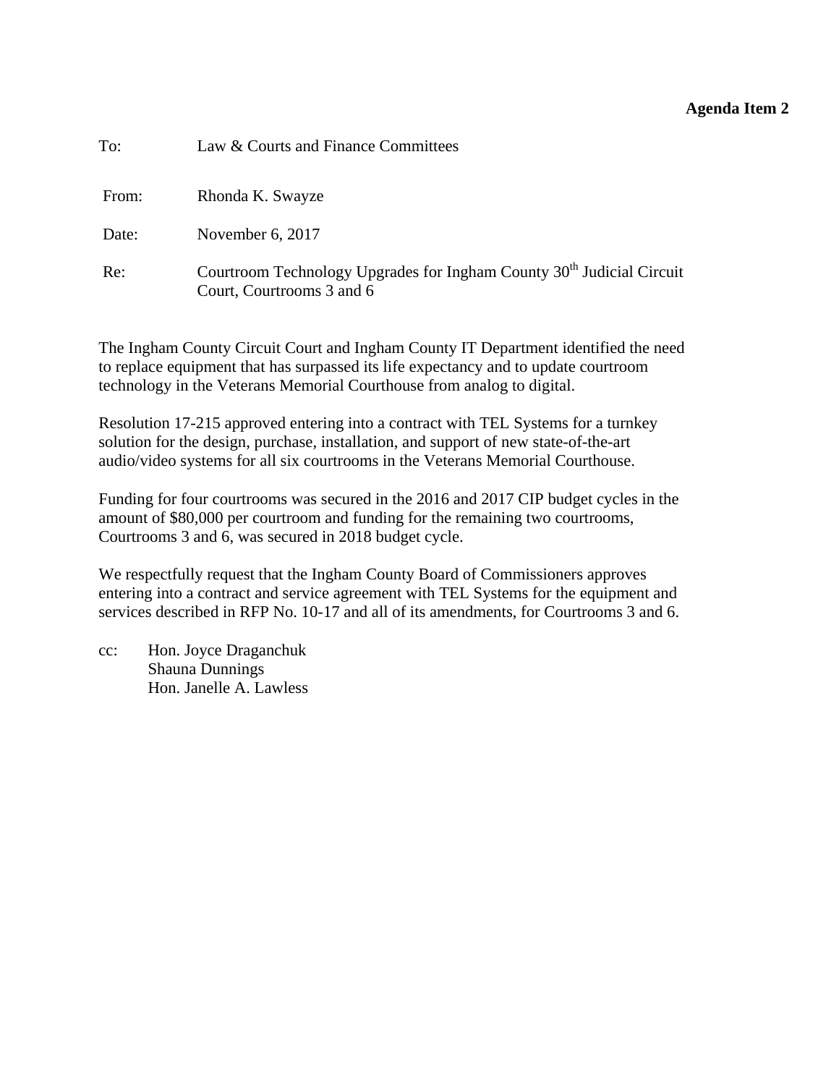### **Agenda Item 2**

<span id="page-10-0"></span>

| To:   | Law & Courts and Finance Committees                                                                            |
|-------|----------------------------------------------------------------------------------------------------------------|
| From: | Rhonda K. Swayze                                                                                               |
| Date: | November 6, 2017                                                                                               |
| Re:   | Courtroom Technology Upgrades for Ingham County 30 <sup>th</sup> Judicial Circuit<br>Court, Courtrooms 3 and 6 |

The Ingham County Circuit Court and Ingham County IT Department identified the need to replace equipment that has surpassed its life expectancy and to update courtroom technology in the Veterans Memorial Courthouse from analog to digital.

Resolution 17-215 approved entering into a contract with TEL Systems for a turnkey solution for the design, purchase, installation, and support of new state-of-the-art audio/video systems for all six courtrooms in the Veterans Memorial Courthouse.

Funding for four courtrooms was secured in the 2016 and 2017 CIP budget cycles in the amount of \$80,000 per courtroom and funding for the remaining two courtrooms, Courtrooms 3 and 6, was secured in 2018 budget cycle.

We respectfully request that the Ingham County Board of Commissioners approves entering into a contract and service agreement with TEL Systems for the equipment and services described in RFP No. 10-17 and all of its amendments, for Courtrooms 3 and 6.

cc: Hon. Joyce Draganchuk Shauna Dunnings Hon. Janelle A. Lawless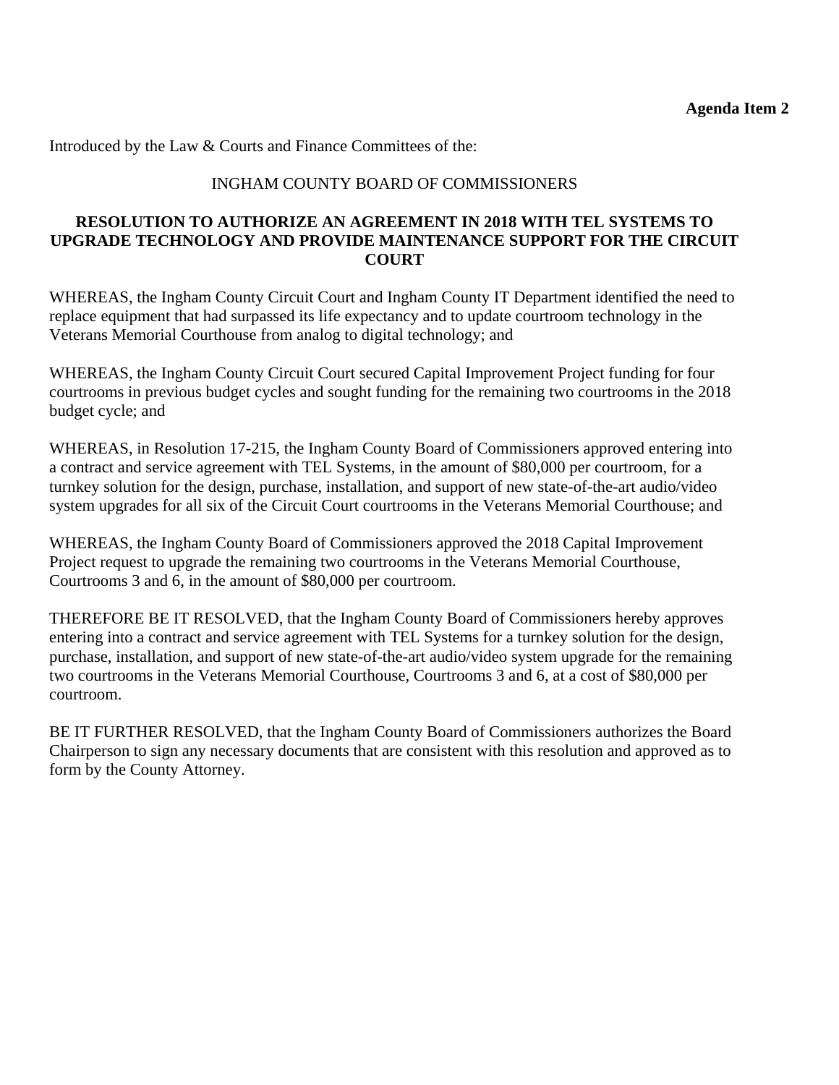Introduced by the Law & Courts and Finance Committees of the:

# INGHAM COUNTY BOARD OF COMMISSIONERS

# **RESOLUTION TO AUTHORIZE AN AGREEMENT IN 2018 WITH TEL SYSTEMS TO UPGRADE TECHNOLOGY AND PROVIDE MAINTENANCE SUPPORT FOR THE CIRCUIT COURT**

WHEREAS, the Ingham County Circuit Court and Ingham County IT Department identified the need to replace equipment that had surpassed its life expectancy and to update courtroom technology in the Veterans Memorial Courthouse from analog to digital technology; and

WHEREAS, the Ingham County Circuit Court secured Capital Improvement Project funding for four courtrooms in previous budget cycles and sought funding for the remaining two courtrooms in the 2018 budget cycle; and

WHEREAS, in Resolution 17-215, the Ingham County Board of Commissioners approved entering into a contract and service agreement with TEL Systems, in the amount of \$80,000 per courtroom, for a turnkey solution for the design, purchase, installation, and support of new state-of-the-art audio/video system upgrades for all six of the Circuit Court courtrooms in the Veterans Memorial Courthouse; and

WHEREAS, the Ingham County Board of Commissioners approved the 2018 Capital Improvement Project request to upgrade the remaining two courtrooms in the Veterans Memorial Courthouse, Courtrooms 3 and 6, in the amount of \$80,000 per courtroom.

THEREFORE BE IT RESOLVED, that the Ingham County Board of Commissioners hereby approves entering into a contract and service agreement with TEL Systems for a turnkey solution for the design, purchase, installation, and support of new state-of-the-art audio/video system upgrade for the remaining two courtrooms in the Veterans Memorial Courthouse, Courtrooms 3 and 6, at a cost of \$80,000 per courtroom.

BE IT FURTHER RESOLVED, that the Ingham County Board of Commissioners authorizes the Board Chairperson to sign any necessary documents that are consistent with this resolution and approved as to form by the County Attorney.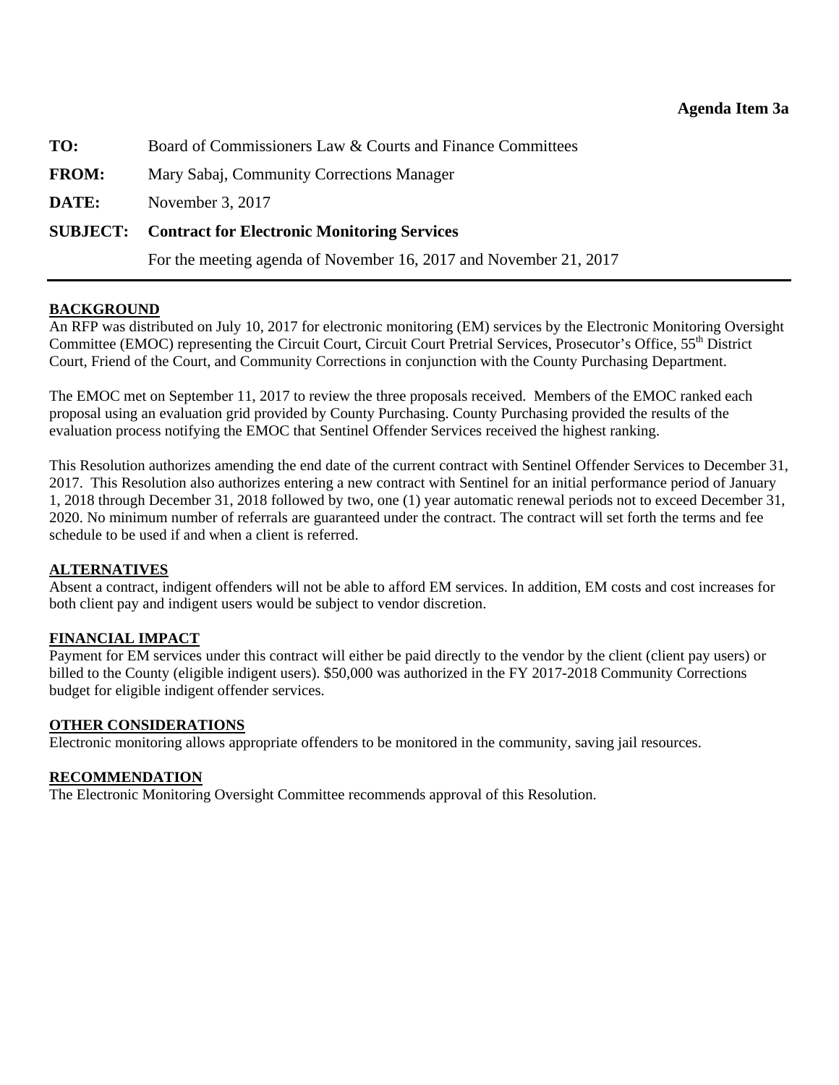<span id="page-12-0"></span>**TO:** Board of Commissioners Law & Courts and Finance Committees

**FROM:** Mary Sabaj, Community Corrections Manager

**DATE:** November 3, 2017

### **SUBJECT: Contract for Electronic Monitoring Services**

For the meeting agenda of November 16, 2017 and November 21, 2017

### **BACKGROUND**

An RFP was distributed on July 10, 2017 for electronic monitoring (EM) services by the Electronic Monitoring Oversight Committee (EMOC) representing the Circuit Court, Circuit Court Pretrial Services, Prosecutor's Office, 55<sup>th</sup> District Court, Friend of the Court, and Community Corrections in conjunction with the County Purchasing Department.

The EMOC met on September 11, 2017 to review the three proposals received. Members of the EMOC ranked each proposal using an evaluation grid provided by County Purchasing. County Purchasing provided the results of the evaluation process notifying the EMOC that Sentinel Offender Services received the highest ranking.

This Resolution authorizes amending the end date of the current contract with Sentinel Offender Services to December 31, 2017. This Resolution also authorizes entering a new contract with Sentinel for an initial performance period of January 1, 2018 through December 31, 2018 followed by two, one (1) year automatic renewal periods not to exceed December 31, 2020. No minimum number of referrals are guaranteed under the contract. The contract will set forth the terms and fee schedule to be used if and when a client is referred.

#### **ALTERNATIVES**

Absent a contract, indigent offenders will not be able to afford EM services. In addition, EM costs and cost increases for both client pay and indigent users would be subject to vendor discretion.

#### **FINANCIAL IMPACT**

Payment for EM services under this contract will either be paid directly to the vendor by the client (client pay users) or billed to the County (eligible indigent users). \$50,000 was authorized in the FY 2017-2018 Community Corrections budget for eligible indigent offender services.

#### **OTHER CONSIDERATIONS**

Electronic monitoring allows appropriate offenders to be monitored in the community, saving jail resources.

#### **RECOMMENDATION**

The Electronic Monitoring Oversight Committee recommends approval of this Resolution.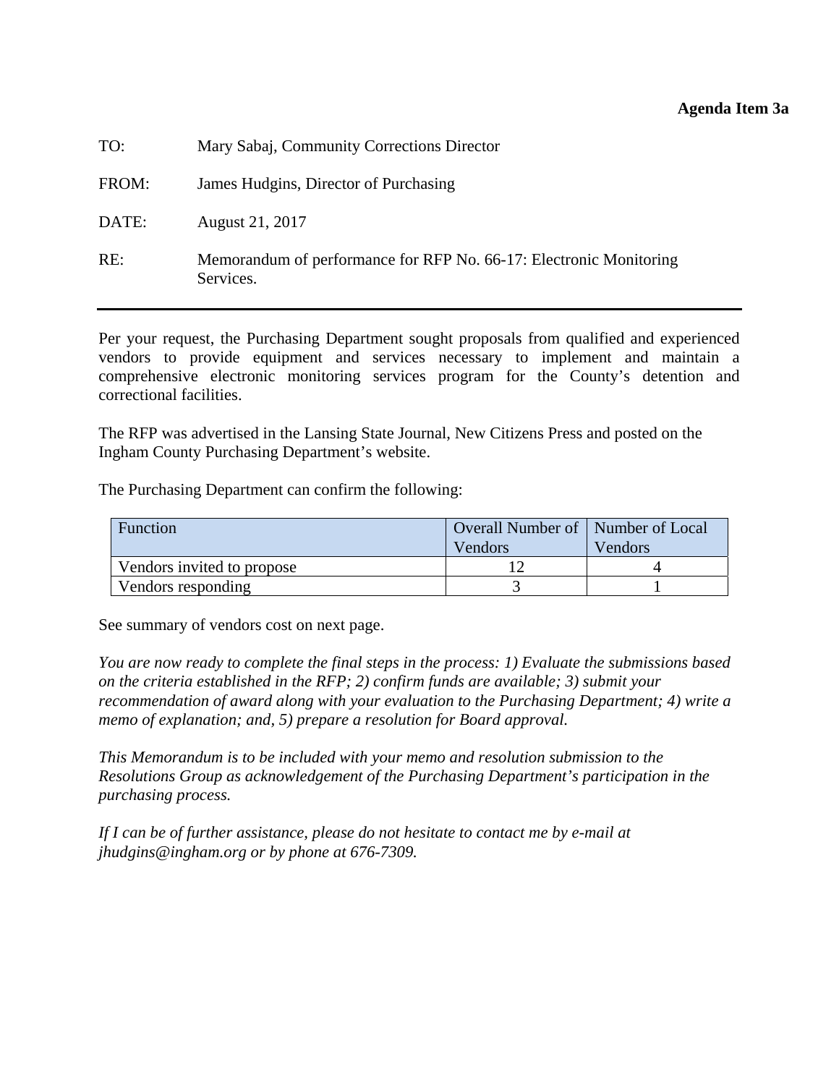#### **Agenda Item 3a**

| TO:   | Mary Sabaj, Community Corrections Director                                      |
|-------|---------------------------------------------------------------------------------|
| FROM: | James Hudgins, Director of Purchasing                                           |
| DATE: | August 21, 2017                                                                 |
| RE:   | Memorandum of performance for RFP No. 66-17: Electronic Monitoring<br>Services. |

Per your request, the Purchasing Department sought proposals from qualified and experienced vendors to provide equipment and services necessary to implement and maintain a comprehensive electronic monitoring services program for the County's detention and correctional facilities.

The RFP was advertised in the Lansing State Journal, New Citizens Press and posted on the Ingham County Purchasing Department's website.

The Purchasing Department can confirm the following:

| Function                   | Overall Number of   Number of Local |                |  |  |
|----------------------------|-------------------------------------|----------------|--|--|
|                            | Vendors                             | <b>Vendors</b> |  |  |
| Vendors invited to propose |                                     |                |  |  |
| Vendors responding         |                                     |                |  |  |

See summary of vendors cost on next page.

*You are now ready to complete the final steps in the process: 1) Evaluate the submissions based on the criteria established in the RFP; 2) confirm funds are available; 3) submit your recommendation of award along with your evaluation to the Purchasing Department; 4) write a memo of explanation; and, 5) prepare a resolution for Board approval.* 

*This Memorandum is to be included with your memo and resolution submission to the Resolutions Group as acknowledgement of the Purchasing Department's participation in the purchasing process.* 

*If I can be of further assistance, please do not hesitate to contact me by e-mail at jhudgins@ingham.org or by phone at 676-7309.*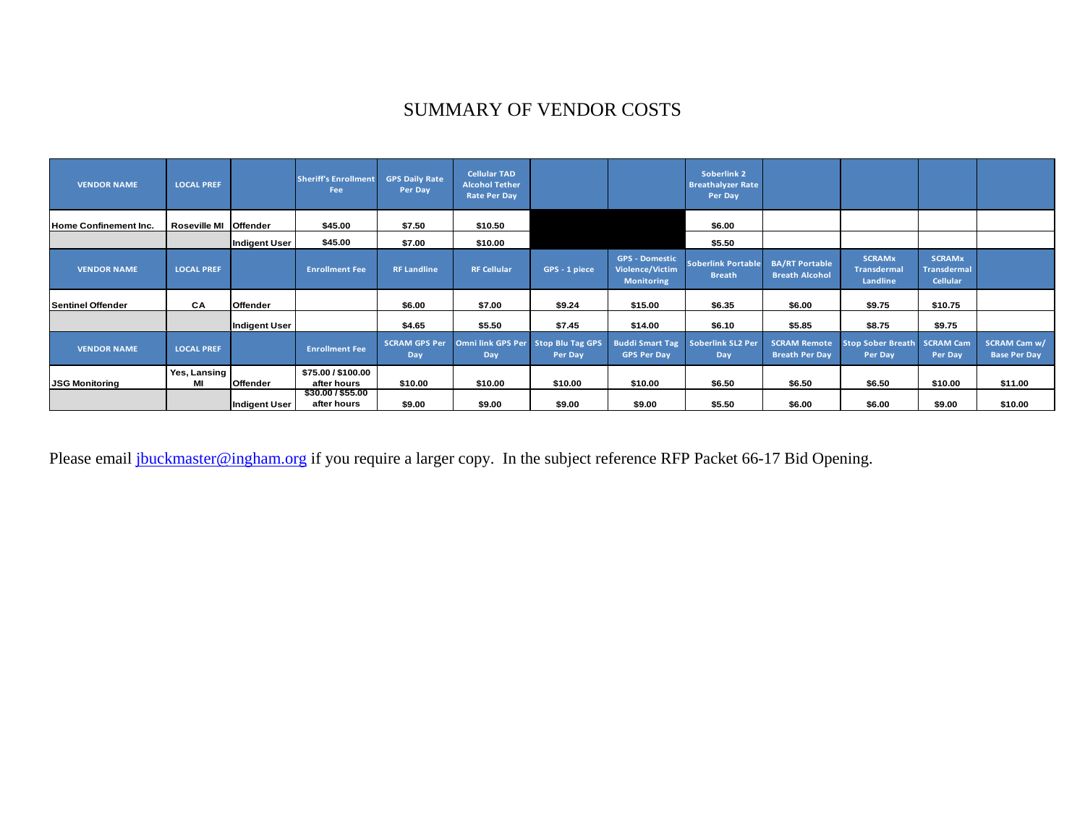# SUMMARY OF VENDOR COSTS

| <b>VENDOR NAME</b>       | <b>LOCAL PREF</b>     |                      | <b>Sheriff's Enrollment</b><br>Fee | <b>GPS Daily Rate</b><br>Per Day | <b>Cellular TAD</b><br><b>Alcohol Tether</b><br><b>Rate Per Day</b> |               |                                                               | <b>Soberlink 2</b><br><b>Breathalyzer Rate</b><br>Per Day |                                                |                                                 |                                                 |                                            |
|--------------------------|-----------------------|----------------------|------------------------------------|----------------------------------|---------------------------------------------------------------------|---------------|---------------------------------------------------------------|-----------------------------------------------------------|------------------------------------------------|-------------------------------------------------|-------------------------------------------------|--------------------------------------------|
| Home Confinement Inc.    | Roseville MI Offender |                      | \$45.00                            | \$7.50                           | \$10.50                                                             |               |                                                               | \$6.00                                                    |                                                |                                                 |                                                 |                                            |
|                          |                       | <b>Indigent User</b> | \$45.00                            | \$7.00                           | \$10.00                                                             |               |                                                               | \$5.50                                                    |                                                |                                                 |                                                 |                                            |
| <b>VENDOR NAME</b>       | <b>LOCAL PREF</b>     |                      | <b>Enrollment Fee</b>              | <b>RF Landline</b>               | <b>RF Cellular</b>                                                  | GPS - 1 piece | <b>GPS - Domestic</b><br>Violence/Victim<br><b>Monitoring</b> | <b>Soberlink Portable</b><br><b>Breath</b>                | <b>BA/RT Portable</b><br><b>Breath Alcohol</b> | <b>SCRAMx</b><br><b>Transdermal</b><br>Landline | <b>SCRAMx</b><br>Transdermal<br><b>Cellular</b> |                                            |
| <b>Sentinel Offender</b> | CA                    | Offender             |                                    | \$6.00                           | \$7.00                                                              | \$9.24        | \$15.00                                                       | \$6.35                                                    | \$6.00                                         | \$9.75                                          | \$10.75                                         |                                            |
|                          |                       | Indigent User        |                                    | \$4.65                           | \$5.50                                                              | \$7.45        | \$14.00                                                       | \$6.10                                                    | \$5.85                                         | \$8.75                                          | \$9.75                                          |                                            |
| <b>VENDOR NAME</b>       | <b>LOCAL PREF</b>     |                      | <b>Enrollment Fee</b>              | <b>SCRAM GPS Per</b><br>Day      | Omni link GPS Per Stop Blu Tag GPS<br>Day                           | Per Day       | <b>Buddi Smart Tag</b><br><b>GPS Per Day</b>                  | Soberlink SL2 Per<br>Day                                  | <b>SCRAM Remote</b><br><b>Breath Per Day</b>   | <b>Stop Sober Breath</b><br>Per Day             | <b>SCRAM Cam</b><br>Per Day                     | <b>SCRAM Cam w/</b><br><b>Base Per Day</b> |
| <b>JSG Monitoring</b>    | Yes, Lansing<br>MI    | Offender             | \$75.00 / \$100.00<br>after hours  | \$10.00                          | \$10.00                                                             | \$10.00       | \$10.00                                                       | \$6.50                                                    | \$6.50                                         | \$6.50                                          | \$10.00                                         | \$11.00                                    |
|                          |                       | Indigent User        | \$30.00 / \$55.00<br>after hours   | \$9.00                           | \$9.00                                                              | \$9.00        | \$9.00                                                        | \$5.50                                                    | \$6.00                                         | \$6.00                                          | \$9.00                                          | \$10.00                                    |

Please email jbuckmaster@ingham.org if you require a larger copy. In the subject reference RFP Packet 66-17 Bid Opening.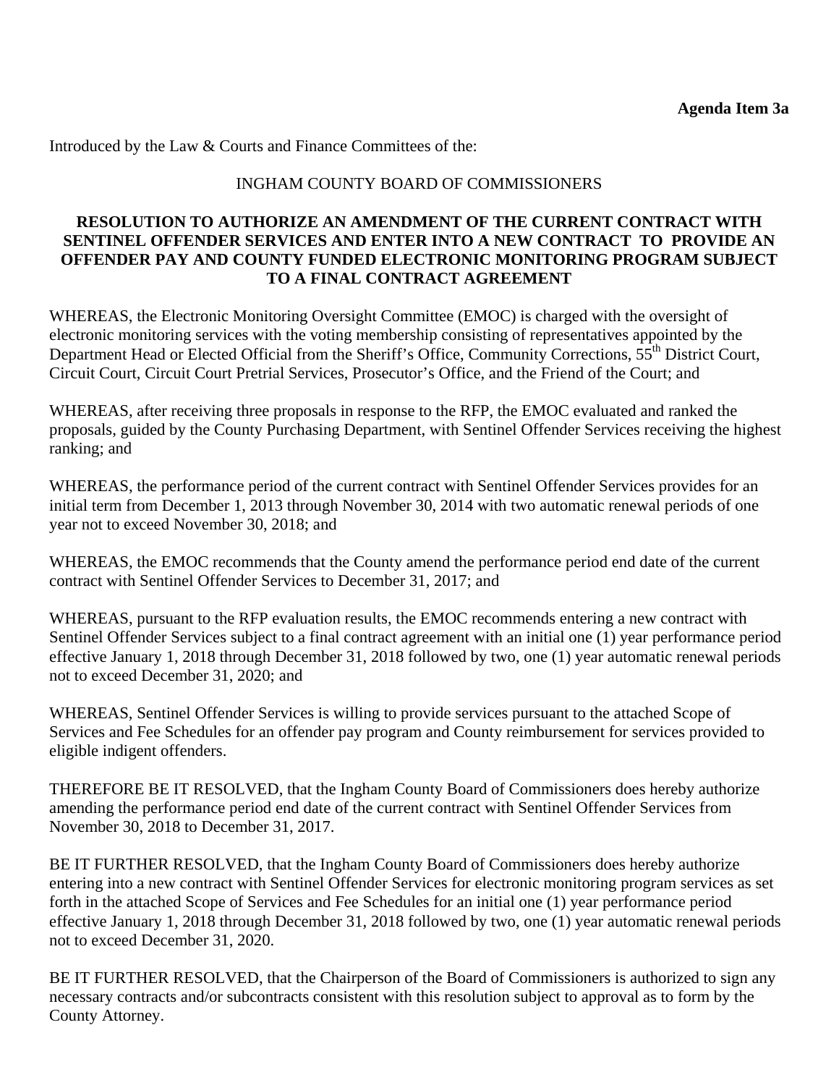Introduced by the Law & Courts and Finance Committees of the:

# INGHAM COUNTY BOARD OF COMMISSIONERS

# **RESOLUTION TO AUTHORIZE AN AMENDMENT OF THE CURRENT CONTRACT WITH SENTINEL OFFENDER SERVICES AND ENTER INTO A NEW CONTRACT TO PROVIDE AN OFFENDER PAY AND COUNTY FUNDED ELECTRONIC MONITORING PROGRAM SUBJECT TO A FINAL CONTRACT AGREEMENT**

WHEREAS, the Electronic Monitoring Oversight Committee (EMOC) is charged with the oversight of electronic monitoring services with the voting membership consisting of representatives appointed by the Department Head or Elected Official from the Sheriff's Office, Community Corrections, 55<sup>th</sup> District Court, Circuit Court, Circuit Court Pretrial Services, Prosecutor's Office, and the Friend of the Court; and

WHEREAS, after receiving three proposals in response to the RFP, the EMOC evaluated and ranked the proposals, guided by the County Purchasing Department, with Sentinel Offender Services receiving the highest ranking; and

WHEREAS, the performance period of the current contract with Sentinel Offender Services provides for an initial term from December 1, 2013 through November 30, 2014 with two automatic renewal periods of one year not to exceed November 30, 2018; and

WHEREAS, the EMOC recommends that the County amend the performance period end date of the current contract with Sentinel Offender Services to December 31, 2017; and

WHEREAS, pursuant to the RFP evaluation results, the EMOC recommends entering a new contract with Sentinel Offender Services subject to a final contract agreement with an initial one (1) year performance period effective January 1, 2018 through December 31, 2018 followed by two, one (1) year automatic renewal periods not to exceed December 31, 2020; and

WHEREAS, Sentinel Offender Services is willing to provide services pursuant to the attached Scope of Services and Fee Schedules for an offender pay program and County reimbursement for services provided to eligible indigent offenders.

THEREFORE BE IT RESOLVED, that the Ingham County Board of Commissioners does hereby authorize amending the performance period end date of the current contract with Sentinel Offender Services from November 30, 2018 to December 31, 2017.

BE IT FURTHER RESOLVED, that the Ingham County Board of Commissioners does hereby authorize entering into a new contract with Sentinel Offender Services for electronic monitoring program services as set forth in the attached Scope of Services and Fee Schedules for an initial one (1) year performance period effective January 1, 2018 through December 31, 2018 followed by two, one (1) year automatic renewal periods not to exceed December 31, 2020.

BE IT FURTHER RESOLVED, that the Chairperson of the Board of Commissioners is authorized to sign any necessary contracts and/or subcontracts consistent with this resolution subject to approval as to form by the County Attorney.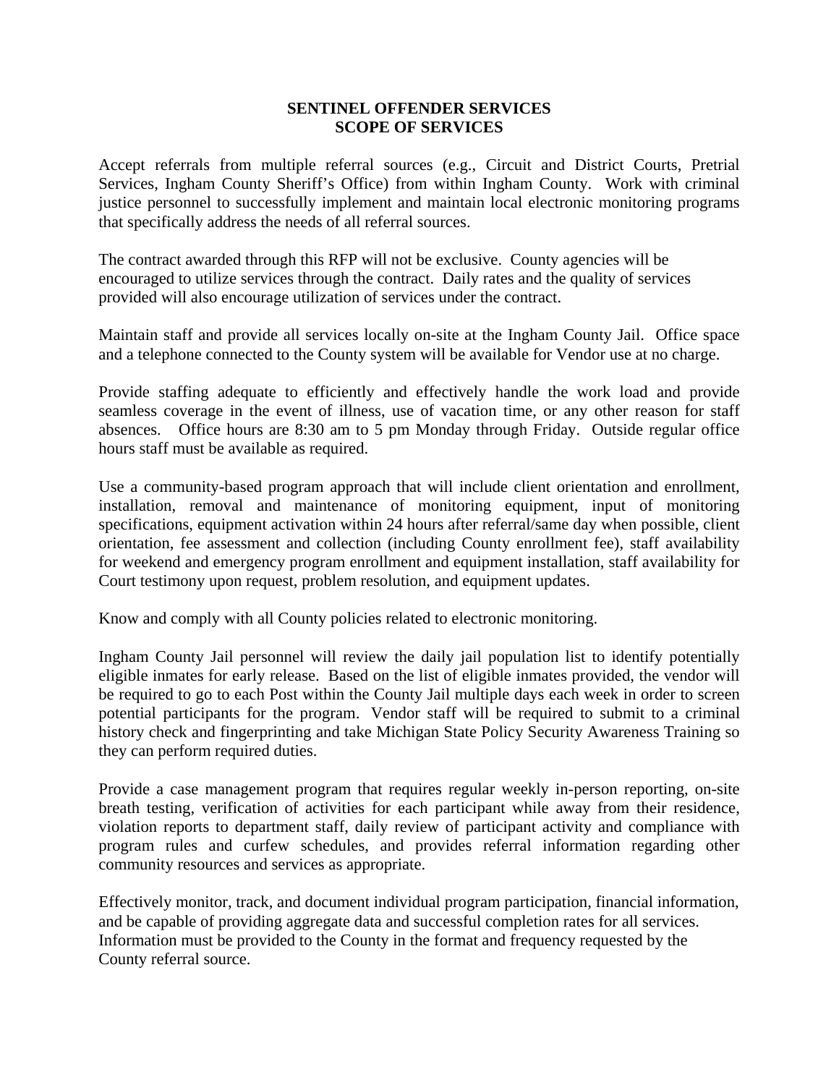### **SENTINEL OFFENDER SERVICES SCOPE OF SERVICES**

Accept referrals from multiple referral sources (e.g., Circuit and District Courts, Pretrial Services, Ingham County Sheriff's Office) from within Ingham County. Work with criminal justice personnel to successfully implement and maintain local electronic monitoring programs that specifically address the needs of all referral sources.

The contract awarded through this RFP will not be exclusive. County agencies will be encouraged to utilize services through the contract. Daily rates and the quality of services provided will also encourage utilization of services under the contract.

Maintain staff and provide all services locally on-site at the Ingham County Jail. Office space and a telephone connected to the County system will be available for Vendor use at no charge.

Provide staffing adequate to efficiently and effectively handle the work load and provide seamless coverage in the event of illness, use of vacation time, or any other reason for staff absences. Office hours are 8:30 am to 5 pm Monday through Friday. Outside regular office hours staff must be available as required.

Use a community-based program approach that will include client orientation and enrollment, installation, removal and maintenance of monitoring equipment, input of monitoring specifications, equipment activation within 24 hours after referral/same day when possible, client orientation, fee assessment and collection (including County enrollment fee), staff availability for weekend and emergency program enrollment and equipment installation, staff availability for Court testimony upon request, problem resolution, and equipment updates.

Know and comply with all County policies related to electronic monitoring.

Ingham County Jail personnel will review the daily jail population list to identify potentially eligible inmates for early release. Based on the list of eligible inmates provided, the vendor will be required to go to each Post within the County Jail multiple days each week in order to screen potential participants for the program. Vendor staff will be required to submit to a criminal history check and fingerprinting and take Michigan State Policy Security Awareness Training so they can perform required duties.

Provide a case management program that requires regular weekly in-person reporting, on-site breath testing, verification of activities for each participant while away from their residence, violation reports to department staff, daily review of participant activity and compliance with program rules and curfew schedules, and provides referral information regarding other community resources and services as appropriate.

Effectively monitor, track, and document individual program participation, financial information, and be capable of providing aggregate data and successful completion rates for all services. Information must be provided to the County in the format and frequency requested by the County referral source.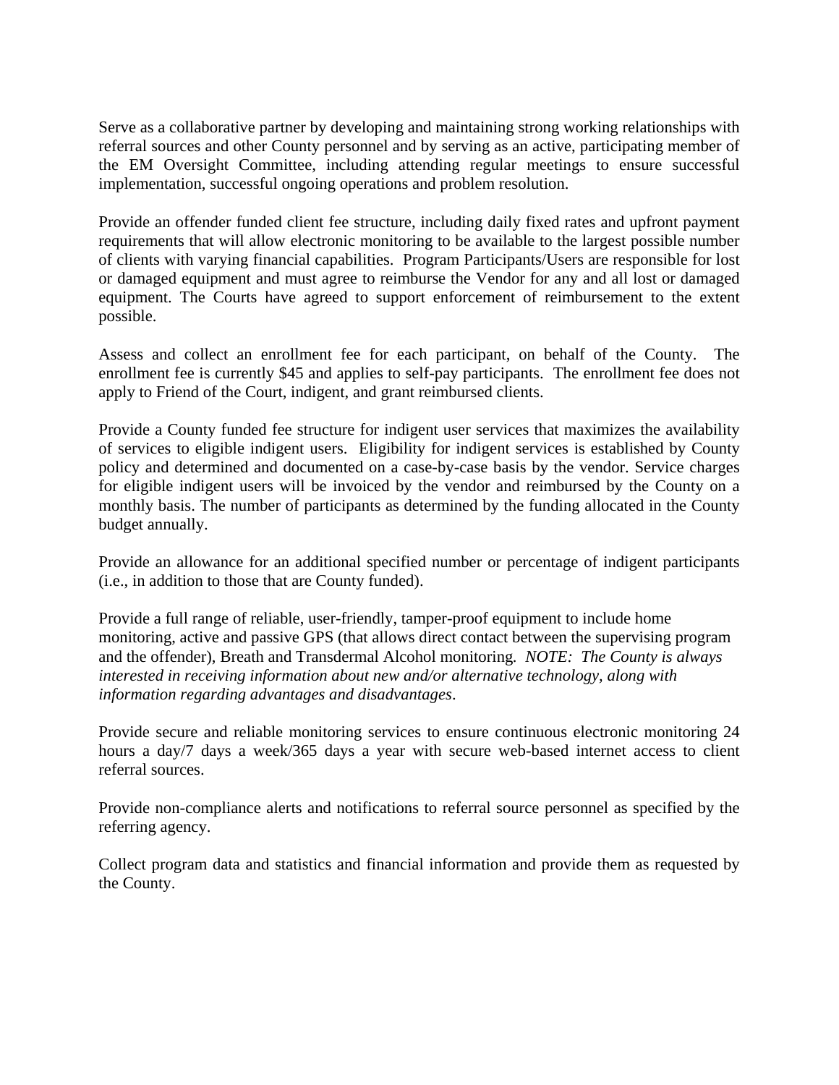Serve as a collaborative partner by developing and maintaining strong working relationships with referral sources and other County personnel and by serving as an active, participating member of the EM Oversight Committee, including attending regular meetings to ensure successful implementation, successful ongoing operations and problem resolution.

Provide an offender funded client fee structure, including daily fixed rates and upfront payment requirements that will allow electronic monitoring to be available to the largest possible number of clients with varying financial capabilities. Program Participants/Users are responsible for lost or damaged equipment and must agree to reimburse the Vendor for any and all lost or damaged equipment. The Courts have agreed to support enforcement of reimbursement to the extent possible.

Assess and collect an enrollment fee for each participant, on behalf of the County. The enrollment fee is currently \$45 and applies to self-pay participants. The enrollment fee does not apply to Friend of the Court, indigent, and grant reimbursed clients.

Provide a County funded fee structure for indigent user services that maximizes the availability of services to eligible indigent users. Eligibility for indigent services is established by County policy and determined and documented on a case-by-case basis by the vendor. Service charges for eligible indigent users will be invoiced by the vendor and reimbursed by the County on a monthly basis. The number of participants as determined by the funding allocated in the County budget annually.

Provide an allowance for an additional specified number or percentage of indigent participants (i.e., in addition to those that are County funded).

Provide a full range of reliable, user-friendly, tamper-proof equipment to include home monitoring, active and passive GPS (that allows direct contact between the supervising program and the offender), Breath and Transdermal Alcohol monitoring*. NOTE: The County is always interested in receiving information about new and/or alternative technology, along with information regarding advantages and disadvantages*.

Provide secure and reliable monitoring services to ensure continuous electronic monitoring 24 hours a day/7 days a week/365 days a year with secure web-based internet access to client referral sources.

Provide non-compliance alerts and notifications to referral source personnel as specified by the referring agency.

Collect program data and statistics and financial information and provide them as requested by the County.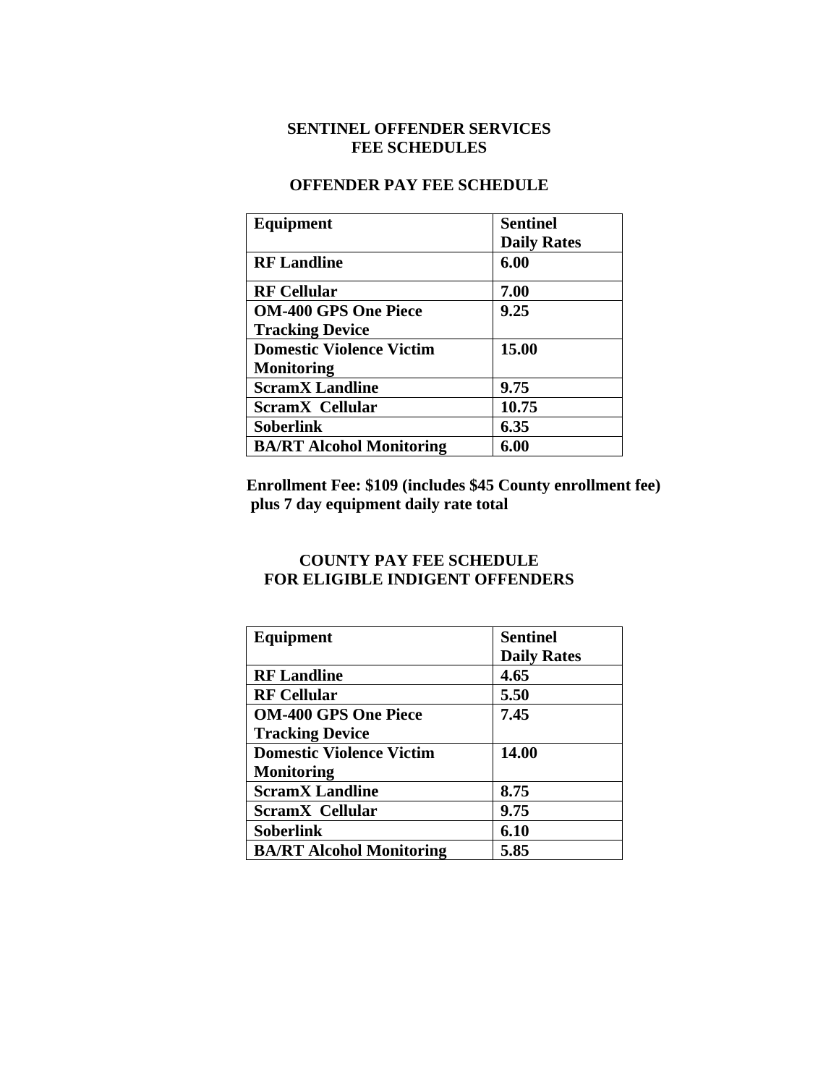# **SENTINEL OFFENDER SERVICES FEE SCHEDULES**

#### **OFFENDER PAY FEE SCHEDULE**

| Equipment                       | Sentinel           |
|---------------------------------|--------------------|
|                                 | <b>Daily Rates</b> |
| <b>RF</b> Landline              | 6.00               |
| <b>RF Cellular</b>              | 7.00               |
| <b>OM-400 GPS One Piece</b>     | 9.25               |
| <b>Tracking Device</b>          |                    |
| <b>Domestic Violence Victim</b> | 15.00              |
| <b>Monitoring</b>               |                    |
| <b>ScramX</b> Landline          | 9.75               |
| <b>ScramX</b> Cellular          | 10.75              |
| Soberlink                       | 6.35               |
| <b>BA/RT Alcohol Monitoring</b> | 6.00               |

**Enrollment Fee: \$109 (includes \$45 County enrollment fee) plus 7 day equipment daily rate total** 

# **COUNTY PAY FEE SCHEDULE FOR ELIGIBLE INDIGENT OFFENDERS**

| Equipment                       | <b>Sentinel</b>    |
|---------------------------------|--------------------|
|                                 | <b>Daily Rates</b> |
| <b>RF</b> Landline              | 4.65               |
| <b>RF Cellular</b>              | 5.50               |
| <b>OM-400 GPS One Piece</b>     | 7.45               |
| <b>Tracking Device</b>          |                    |
| <b>Domestic Violence Victim</b> | 14.00              |
| <b>Monitoring</b>               |                    |
| <b>ScramX Landline</b>          | 8.75               |
| <b>ScramX</b> Cellular          | 9.75               |
| Soberlink                       | 6.10               |
| <b>BA/RT Alcohol Monitoring</b> | 5.85               |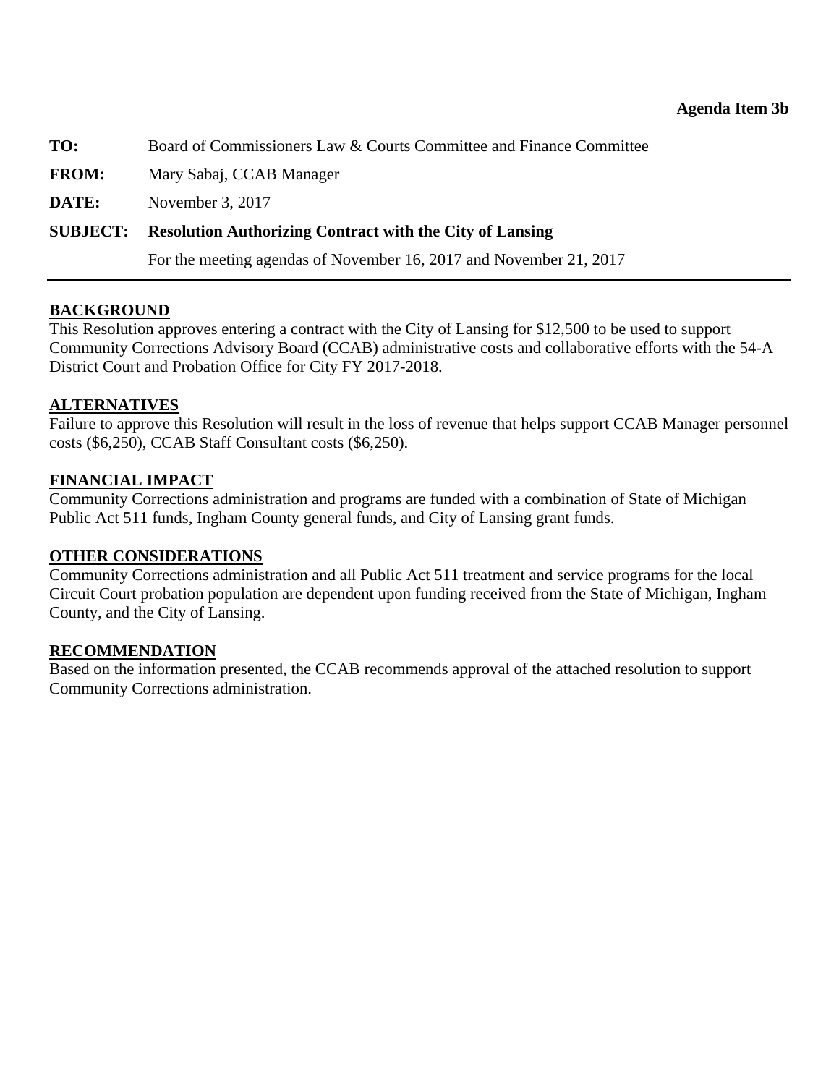### **Agenda Item 3b**

<span id="page-19-0"></span>**TO:** Board of Commissioners Law & Courts Committee and Finance Committee

**FROM:** Mary Sabaj, CCAB Manager

**DATE:** November 3, 2017

# **SUBJECT: Resolution Authorizing Contract with the City of Lansing**

For the meeting agendas of November 16, 2017 and November 21, 2017

# **BACKGROUND**

This Resolution approves entering a contract with the City of Lansing for \$12,500 to be used to support Community Corrections Advisory Board (CCAB) administrative costs and collaborative efforts with the 54-A District Court and Probation Office for City FY 2017-2018.

# **ALTERNATIVES**

Failure to approve this Resolution will result in the loss of revenue that helps support CCAB Manager personnel costs (\$6,250), CCAB Staff Consultant costs (\$6,250).

# **FINANCIAL IMPACT**

Community Corrections administration and programs are funded with a combination of State of Michigan Public Act 511 funds, Ingham County general funds, and City of Lansing grant funds.

### **OTHER CONSIDERATIONS**

Community Corrections administration and all Public Act 511 treatment and service programs for the local Circuit Court probation population are dependent upon funding received from the State of Michigan, Ingham County, and the City of Lansing.

### **RECOMMENDATION**

Based on the information presented, the CCAB recommends approval of the attached resolution to support Community Corrections administration.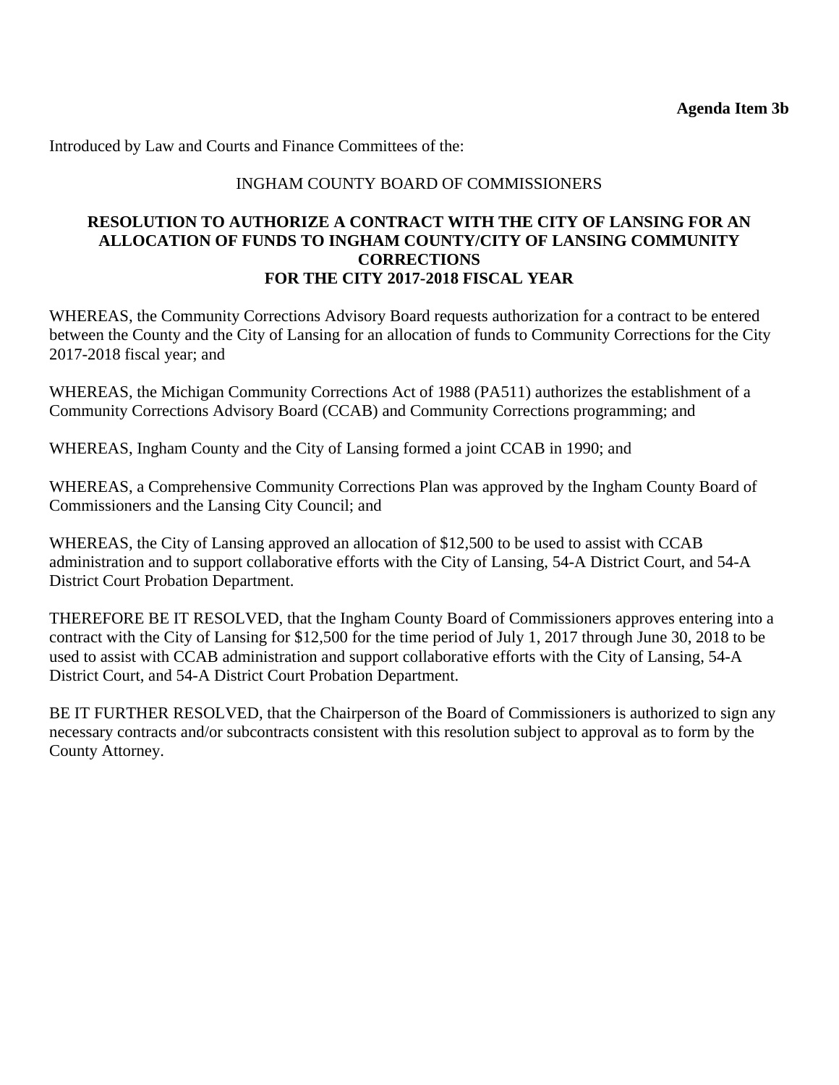Introduced by Law and Courts and Finance Committees of the:

# INGHAM COUNTY BOARD OF COMMISSIONERS

### **RESOLUTION TO AUTHORIZE A CONTRACT WITH THE CITY OF LANSING FOR AN ALLOCATION OF FUNDS TO INGHAM COUNTY/CITY OF LANSING COMMUNITY CORRECTIONS FOR THE CITY 2017-2018 FISCAL YEAR**

WHEREAS, the Community Corrections Advisory Board requests authorization for a contract to be entered between the County and the City of Lansing for an allocation of funds to Community Corrections for the City 2017-2018 fiscal year; and

WHEREAS, the Michigan Community Corrections Act of 1988 (PA511) authorizes the establishment of a Community Corrections Advisory Board (CCAB) and Community Corrections programming; and

WHEREAS, Ingham County and the City of Lansing formed a joint CCAB in 1990; and

WHEREAS, a Comprehensive Community Corrections Plan was approved by the Ingham County Board of Commissioners and the Lansing City Council; and

WHEREAS, the City of Lansing approved an allocation of \$12,500 to be used to assist with CCAB administration and to support collaborative efforts with the City of Lansing, 54-A District Court, and 54-A District Court Probation Department.

THEREFORE BE IT RESOLVED, that the Ingham County Board of Commissioners approves entering into a contract with the City of Lansing for \$12,500 for the time period of July 1, 2017 through June 30, 2018 to be used to assist with CCAB administration and support collaborative efforts with the City of Lansing, 54-A District Court, and 54-A District Court Probation Department.

BE IT FURTHER RESOLVED, that the Chairperson of the Board of Commissioners is authorized to sign any necessary contracts and/or subcontracts consistent with this resolution subject to approval as to form by the County Attorney.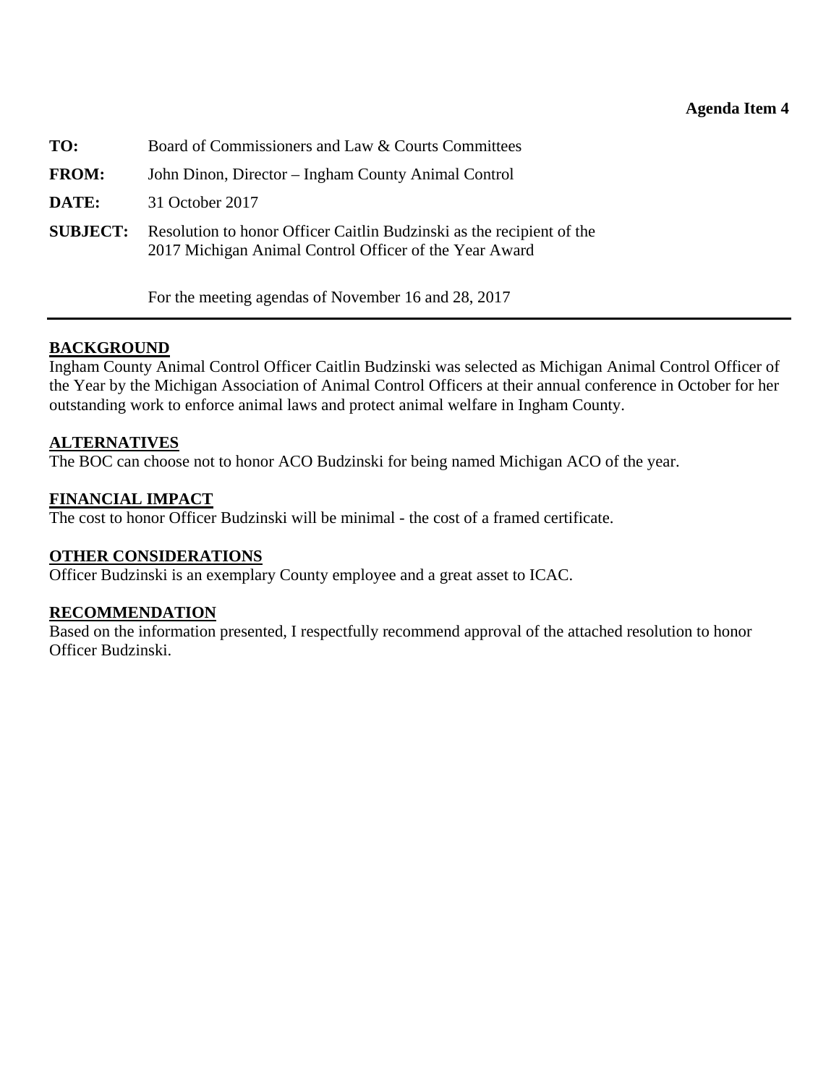### **Agenda Item 4**

<span id="page-21-0"></span>

| TO:             | Board of Commissioners and Law & Courts Committees                                                                              |
|-----------------|---------------------------------------------------------------------------------------------------------------------------------|
| <b>FROM:</b>    | John Dinon, Director – Ingham County Animal Control                                                                             |
| DATE:           | 31 October 2017                                                                                                                 |
| <b>SUBJECT:</b> | Resolution to honor Officer Caitlin Budzinski as the recipient of the<br>2017 Michigan Animal Control Officer of the Year Award |

For the meeting agendas of November 16 and 28, 2017

### **BACKGROUND**

Ingham County Animal Control Officer Caitlin Budzinski was selected as Michigan Animal Control Officer of the Year by the Michigan Association of Animal Control Officers at their annual conference in October for her outstanding work to enforce animal laws and protect animal welfare in Ingham County.

#### **ALTERNATIVES**

The BOC can choose not to honor ACO Budzinski for being named Michigan ACO of the year.

### **FINANCIAL IMPACT**

The cost to honor Officer Budzinski will be minimal - the cost of a framed certificate.

#### **OTHER CONSIDERATIONS**

Officer Budzinski is an exemplary County employee and a great asset to ICAC.

#### **RECOMMENDATION**

Based on the information presented, I respectfully recommend approval of the attached resolution to honor Officer Budzinski.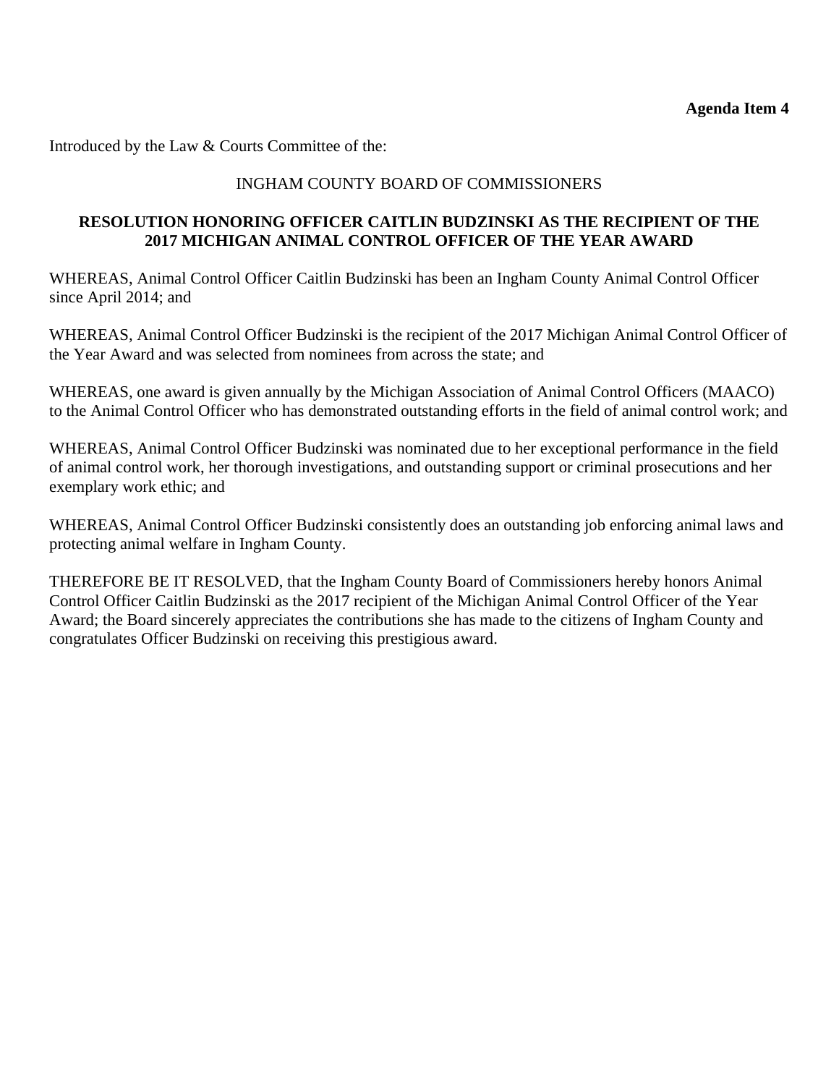Introduced by the Law & Courts Committee of the:

# INGHAM COUNTY BOARD OF COMMISSIONERS

# **RESOLUTION HONORING OFFICER CAITLIN BUDZINSKI AS THE RECIPIENT OF THE 2017 MICHIGAN ANIMAL CONTROL OFFICER OF THE YEAR AWARD**

WHEREAS, Animal Control Officer Caitlin Budzinski has been an Ingham County Animal Control Officer since April 2014; and

WHEREAS, Animal Control Officer Budzinski is the recipient of the 2017 Michigan Animal Control Officer of the Year Award and was selected from nominees from across the state; and

WHEREAS, one award is given annually by the Michigan Association of Animal Control Officers (MAACO) to the Animal Control Officer who has demonstrated outstanding efforts in the field of animal control work; and

WHEREAS, Animal Control Officer Budzinski was nominated due to her exceptional performance in the field of animal control work, her thorough investigations, and outstanding support or criminal prosecutions and her exemplary work ethic; and

WHEREAS, Animal Control Officer Budzinski consistently does an outstanding job enforcing animal laws and protecting animal welfare in Ingham County.

THEREFORE BE IT RESOLVED, that the Ingham County Board of Commissioners hereby honors Animal Control Officer Caitlin Budzinski as the 2017 recipient of the Michigan Animal Control Officer of the Year Award; the Board sincerely appreciates the contributions she has made to the citizens of Ingham County and congratulates Officer Budzinski on receiving this prestigious award.